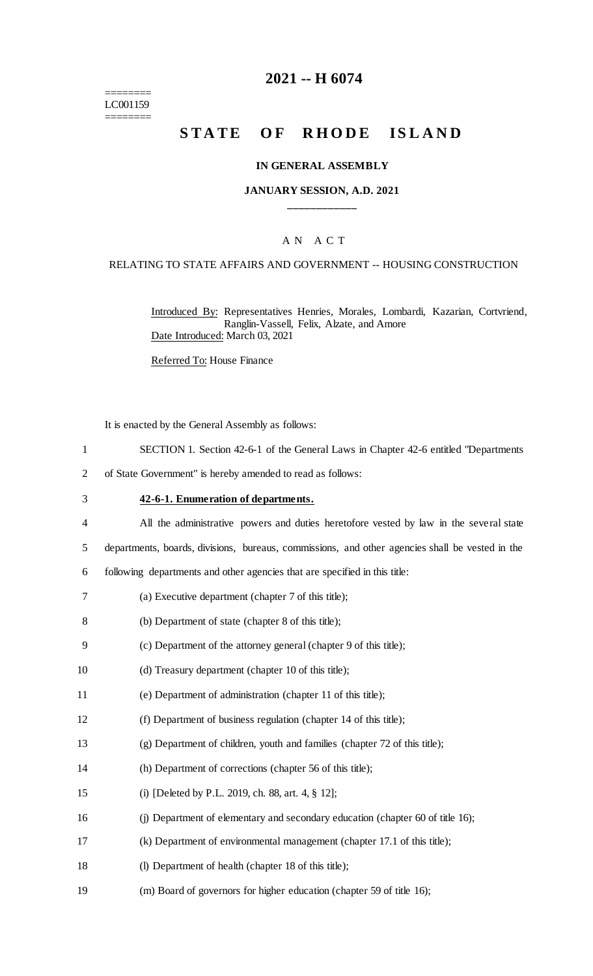======== LC001159 ========

### **2021 -- H 6074**

## **STATE OF RHODE ISLAND**

#### **IN GENERAL ASSEMBLY**

#### **JANUARY SESSION, A.D. 2021 \_\_\_\_\_\_\_\_\_\_\_\_**

#### A N A C T

#### RELATING TO STATE AFFAIRS AND GOVERNMENT -- HOUSING CONSTRUCTION

Introduced By: Representatives Henries, Morales, Lombardi, Kazarian, Cortvriend, Ranglin-Vassell, Felix, Alzate, and Amore Date Introduced: March 03, 2021

Referred To: House Finance

It is enacted by the General Assembly as follows:

- 1 SECTION 1. Section 42-6-1 of the General Laws in Chapter 42-6 entitled "Departments
- 2 of State Government" is hereby amended to read as follows:
- 3 **42-6-1. Enumeration of departments.**
- 4 All the administrative powers and duties heretofore vested by law in the several state
- 5 departments, boards, divisions, bureaus, commissions, and other agencies shall be vested in the

6 following departments and other agencies that are specified in this title:

- 7 (a) Executive department (chapter 7 of this title);
- 8 (b) Department of state (chapter 8 of this title);
- 9 (c) Department of the attorney general (chapter 9 of this title);
- 10 (d) Treasury department (chapter 10 of this title);
- 11 (e) Department of administration (chapter 11 of this title);
- 12 (f) Department of business regulation (chapter 14 of this title);
- 13 (g) Department of children, youth and families (chapter 72 of this title);
- 14 (h) Department of corrections (chapter 56 of this title);
- 15 (i) [Deleted by P.L. 2019, ch. 88, art. 4, § 12];
- 16 (j) Department of elementary and secondary education (chapter 60 of title 16);
- 17 (k) Department of environmental management (chapter 17.1 of this title);
- 18 (l) Department of health (chapter 18 of this title);
- 19 (m) Board of governors for higher education (chapter 59 of title 16);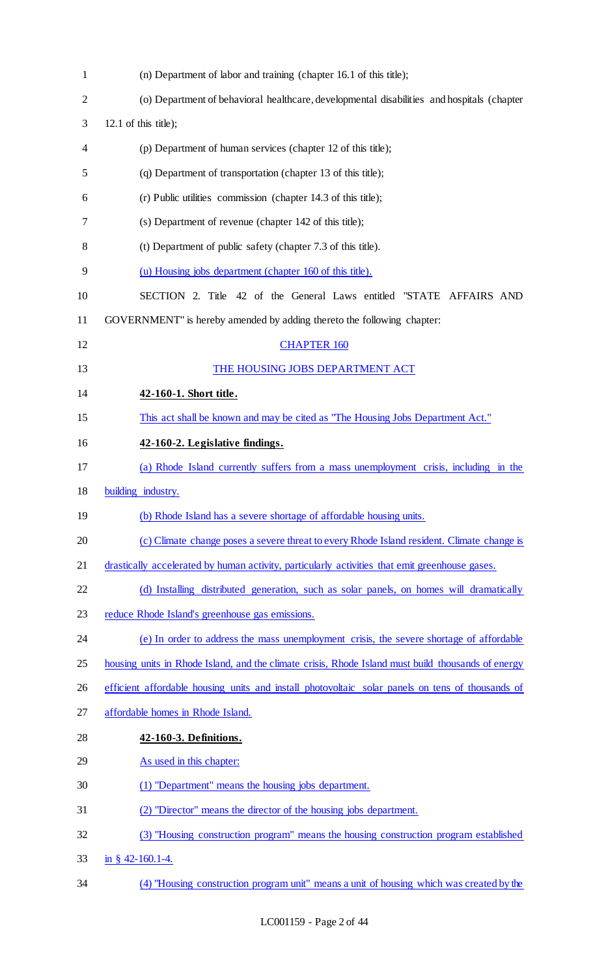| $\mathbf{1}$ | (n) Department of labor and training (chapter 16.1 of this title);                                 |
|--------------|----------------------------------------------------------------------------------------------------|
| 2            | (o) Department of behavioral healthcare, developmental disabilities and hospitals (chapter         |
| 3            | $12.1$ of this title);                                                                             |
| 4            | (p) Department of human services (chapter 12 of this title);                                       |
| 5            | (q) Department of transportation (chapter 13 of this title);                                       |
| 6            | (r) Public utilities commission (chapter 14.3 of this title);                                      |
| 7            | (s) Department of revenue (chapter 142 of this title);                                             |
| 8            | (t) Department of public safety (chapter 7.3 of this title).                                       |
| 9            | (u) Housing jobs department (chapter 160 of this title).                                           |
| 10           | SECTION 2. Title 42 of the General Laws entitled "STATE AFFAIRS AND                                |
| 11           | GOVERNMENT" is hereby amended by adding thereto the following chapter:                             |
| 12           | <b>CHAPTER 160</b>                                                                                 |
| 13           | THE HOUSING JOBS DEPARTMENT ACT                                                                    |
| 14           | 42-160-1. Short title.                                                                             |
| 15           | This act shall be known and may be cited as "The Housing Jobs Department Act."                     |
| 16           | 42-160-2. Legislative findings.                                                                    |
| 17           | (a) Rhode Island currently suffers from a mass unemployment crisis, including in the               |
| 18           | building industry.                                                                                 |
| 19           | (b) Rhode Island has a severe shortage of affordable housing units.                                |
| 20           | (c) Climate change poses a severe threat to every Rhode Island resident. Climate change is         |
| 21           | drastically accelerated by human activity, particularly activities that emit greenhouse gases.     |
| 22           | (d) Installing distributed generation, such as solar panels, on homes will dramatically            |
| 23           | reduce Rhode Island's greenhouse gas emissions.                                                    |
| 24           | (e) In order to address the mass unemployment crisis, the severe shortage of affordable            |
| 25           | housing units in Rhode Island, and the climate crisis, Rhode Island must build thousands of energy |
| 26           | efficient affordable housing units and install photovoltaic solar panels on tens of thousands of   |
| 27           | affordable homes in Rhode Island.                                                                  |
| 28           | 42-160-3. Definitions.                                                                             |
| 29           | As used in this chapter:                                                                           |
| 30           | (1) "Department" means the housing jobs department.                                                |
| 31           | (2) "Director" means the director of the housing jobs department.                                  |
| 32           | (3) "Housing construction program" means the housing construction program established              |
| 33           | in § 42-160.1-4.                                                                                   |
| 34           | (4) "Housing construction program unit" means a unit of housing which was created by the           |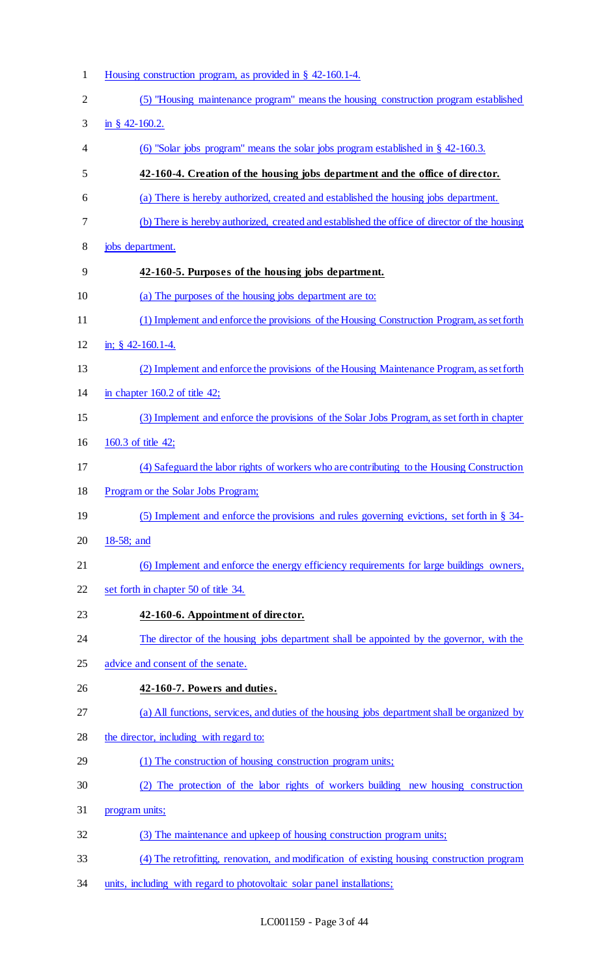| $\mathbf{1}$   | Housing construction program, as provided in $\S$ 42-160.1-4.                                 |
|----------------|-----------------------------------------------------------------------------------------------|
| $\overline{2}$ | (5) "Housing maintenance program" means the housing construction program established          |
| 3              | in § 42-160.2.                                                                                |
| 4              | (6) "Solar jobs program" means the solar jobs program established in $\S$ 42-160.3.           |
| 5              | 42-160-4. Creation of the housing jobs department and the office of director.                 |
| 6              | (a) There is hereby authorized, created and established the housing jobs department.          |
| 7              | (b) There is hereby authorized, created and established the office of director of the housing |
| 8              | jobs department.                                                                              |
| 9              | 42-160-5. Purposes of the housing jobs department.                                            |
| 10             | (a) The purposes of the housing jobs department are to:                                       |
| 11             | (1) Implement and enforce the provisions of the Housing Construction Program, as set forth    |
| 12             | in; $§$ 42-160.1-4.                                                                           |
| 13             | (2) Implement and enforce the provisions of the Housing Maintenance Program, as set forth     |
| 14             | in chapter $160.2$ of title 42;                                                               |
| 15             | (3) Implement and enforce the provisions of the Solar Jobs Program, as set forth in chapter   |
| 16             | 160.3 of title 42;                                                                            |
| 17             | (4) Safeguard the labor rights of workers who are contributing to the Housing Construction    |
| 18             | Program or the Solar Jobs Program;                                                            |
| 19             | (5) Implement and enforce the provisions and rules governing evictions, set forth in § 34-    |
| 20             | 18-58; and                                                                                    |
| 21             | (6) Implement and enforce the energy efficiency requirements for large buildings owners,      |
| 22             | set forth in chapter 50 of title 34.                                                          |
| 23             | 42-160-6. Appointment of director.                                                            |
| 24             | The director of the housing jobs department shall be appointed by the governor, with the      |
| 25             | advice and consent of the senate.                                                             |
| 26             | 42-160-7. Powers and duties.                                                                  |
| 27             | (a) All functions, services, and duties of the housing jobs department shall be organized by  |
| 28             | the director, including with regard to:                                                       |
| 29             | (1) The construction of housing construction program units;                                   |
| 30             | (2) The protection of the labor rights of workers building new housing construction           |
| 31             | program units;                                                                                |
| 32             | (3) The maintenance and upkeep of housing construction program units;                         |
| 33             | (4) The retrofitting, renovation, and modification of existing housing construction program   |
| 34             | units, including with regard to photovoltaic solar panel installations;                       |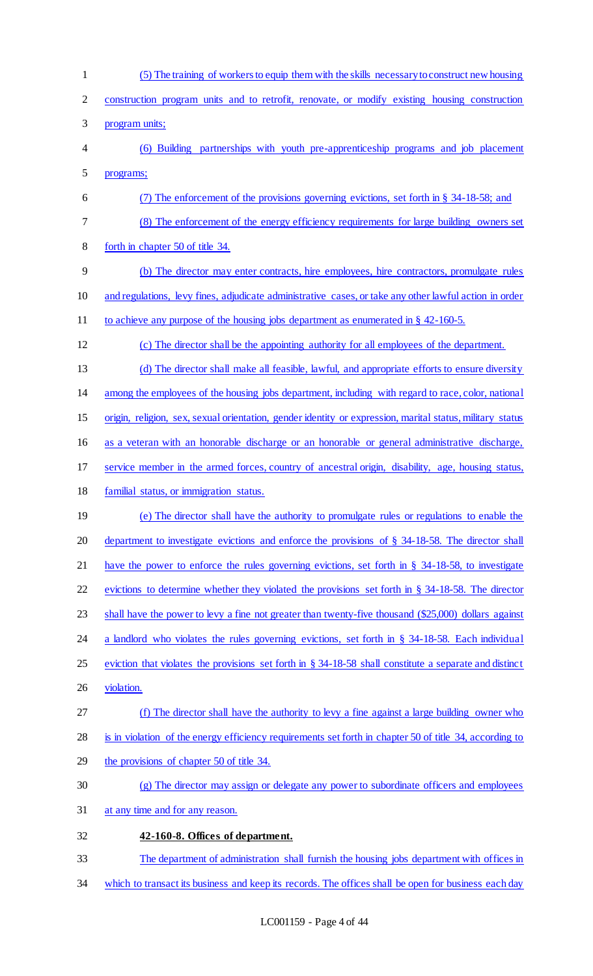- (5) The training of workers to equip them with the skills necessary to construct new housing construction program units and to retrofit, renovate, or modify existing housing construction program units; (6) Building partnerships with youth pre-apprenticeship programs and job placement programs; (7) The enforcement of the provisions governing evictions, set forth in § 34-18-58; and (8) The enforcement of the energy efficiency requirements for large building owners set forth in chapter 50 of title 34. (b) The director may enter contracts, hire employees, hire contractors, promulgate rules and regulations, levy fines, adjudicate administrative cases, or take any other lawful action in order to achieve any purpose of the housing jobs department as enumerated in § 42-160-5. (c) The director shall be the appointing authority for all employees of the department. (d) The director shall make all feasible, lawful, and appropriate efforts to ensure diversity among the employees of the housing jobs department, including with regard to race, color, national origin, religion, sex, sexual orientation, gender identity or expression, marital status, military status 16 as a veteran with an honorable discharge or an honorable or general administrative discharge, service member in the armed forces, country of ancestral origin, disability, age, housing status, familial status, or immigration status. (e) The director shall have the authority to promulgate rules or regulations to enable the department to investigate evictions and enforce the provisions of § 34-18-58. The director shall have the power to enforce the rules governing evictions, set forth in § 34-18-58, to investigate evictions to determine whether they violated the provisions set forth in § 34-18-58. The director 23 shall have the power to levy a fine not greater than twenty-five thousand (\$25,000) dollars against 24 a landlord who violates the rules governing evictions, set forth in § 34-18-58. Each individual eviction that violates the provisions set forth in § 34-18-58 shall constitute a separate and distinct violation. (f) The director shall have the authority to levy a fine against a large building owner who is in violation of the energy efficiency requirements set forth in chapter 50 of title 34, according to the provisions of chapter 50 of title 34. (g) The director may assign or delegate any power to subordinate officers and employees at any time and for any reason. **42-160-8. Offices of department.**  The department of administration shall furnish the housing jobs department with offices in
- 34 which to transact its business and keep its records. The offices shall be open for business each day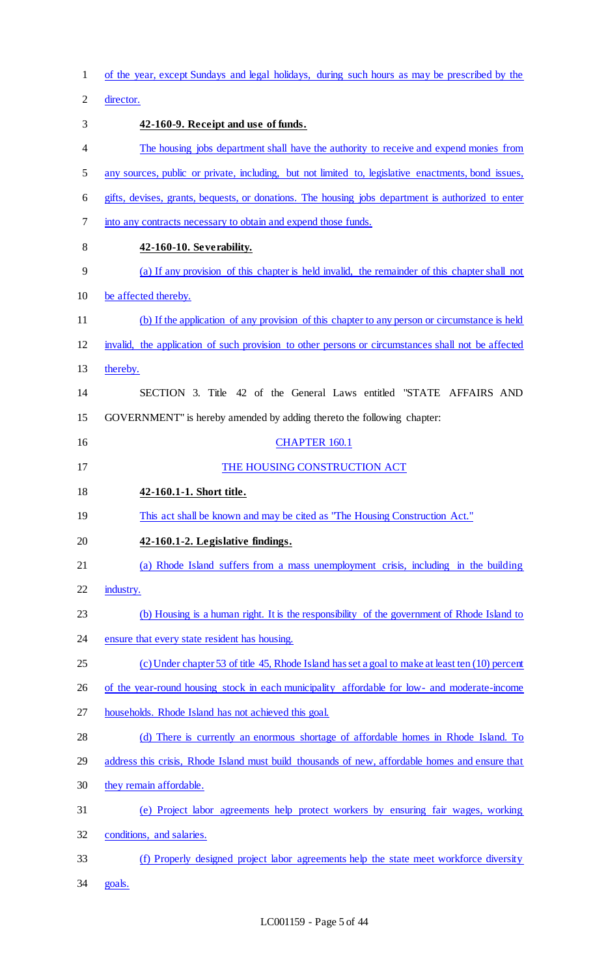| $\mathbf{1}$   | of the year, except Sundays and legal holidays, during such hours as may be prescribed by the       |
|----------------|-----------------------------------------------------------------------------------------------------|
| $\overline{2}$ | director.                                                                                           |
| 3              | 42-160-9. Receipt and use of funds.                                                                 |
| 4              | The housing jobs department shall have the authority to receive and expend monies from              |
| 5              | any sources, public or private, including, but not limited to, legislative enactments, bond issues, |
| 6              | gifts, devises, grants, bequests, or donations. The housing jobs department is authorized to enter  |
| 7              | into any contracts necessary to obtain and expend those funds.                                      |
| $8\,$          | 42-160-10. Severability.                                                                            |
| 9              | (a) If any provision of this chapter is held invalid, the remainder of this chapter shall not       |
| 10             | be affected thereby.                                                                                |
| 11             | (b) If the application of any provision of this chapter to any person or circumstance is held       |
| 12             | invalid, the application of such provision to other persons or circumstances shall not be affected  |
| 13             | thereby.                                                                                            |
| 14             | SECTION 3. Title 42 of the General Laws entitled "STATE AFFAIRS AND                                 |
| 15             | GOVERNMENT" is hereby amended by adding thereto the following chapter:                              |
| 16             | <b>CHAPTER 160.1</b>                                                                                |
| 17             | THE HOUSING CONSTRUCTION ACT                                                                        |
|                |                                                                                                     |
| 18             | 42-160.1-1. Short title.                                                                            |
| 19             | This act shall be known and may be cited as "The Housing Construction Act."                         |
| 20             | 42-160.1-2. Legislative findings.                                                                   |
| 21             | (a) Rhode Island suffers from a mass unemployment crisis, including in the building                 |
| 22             | industry.                                                                                           |
| 23             | (b) Housing is a human right. It is the responsibility of the government of Rhode Island to         |
| 24             | ensure that every state resident has housing.                                                       |
| 25             | (c) Under chapter 53 of title 45, Rhode Island has set a goal to make at least ten (10) percent     |
| 26             | of the year-round housing stock in each municipality affordable for low- and moderate-income        |
| 27             | households. Rhode Island has not achieved this goal.                                                |
| 28             | (d) There is currently an enormous shortage of affordable homes in Rhode Island. To                 |
| 29             | address this crisis, Rhode Island must build thousands of new, affordable homes and ensure that     |
| 30             | they remain affordable.                                                                             |
| 31             | (e) Project labor agreements help protect workers by ensuring fair wages, working                   |
| 32             | conditions, and salaries.                                                                           |
| 33             | (f) Properly designed project labor agreements help the state meet workforce diversity              |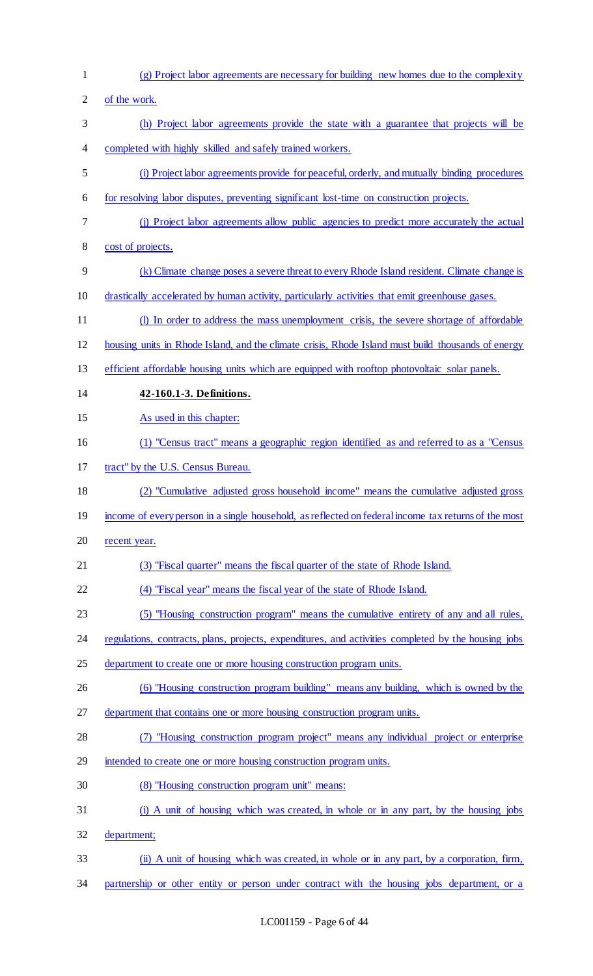(g) Project labor agreements are necessary for building new homes due to the complexity of the work. (h) Project labor agreements provide the state with a guarantee that projects will be completed with highly skilled and safely trained workers. (i) Project labor agreements provide for peaceful, orderly, and mutually binding procedures for resolving labor disputes, preventing significant lost-time on construction projects. (j) Project labor agreements allow public agencies to predict more accurately the actual cost of projects. (k) Climate change poses a severe threat to every Rhode Island resident. Climate change is drastically accelerated by human activity, particularly activities that emit greenhouse gases. (l) In order to address the mass unemployment crisis, the severe shortage of affordable housing units in Rhode Island, and the climate crisis, Rhode Island must build thousands of energy efficient affordable housing units which are equipped with rooftop photovoltaic solar panels. **42-160.1-3. Definitions.**  As used in this chapter: (1) "Census tract" means a geographic region identified as and referred to as a "Census tract" by the U.S. Census Bureau. (2) "Cumulative adjusted gross household income" means the cumulative adjusted gross income of every person in a single household, as reflected on federal income tax returns of the most 20 recent year. (3) "Fiscal quarter" means the fiscal quarter of the state of Rhode Island. (4) "Fiscal year" means the fiscal year of the state of Rhode Island. (5) "Housing construction program" means the cumulative entirety of any and all rules, regulations, contracts, plans, projects, expenditures, and activities completed by the housing jobs 25 department to create one or more housing construction program units. (6) "Housing construction program building" means any building, which is owned by the department that contains one or more housing construction program units. (7) "Housing construction program project" means any individual project or enterprise intended to create one or more housing construction program units. (8) "Housing construction program unit" means: (i) A unit of housing which was created, in whole or in any part, by the housing jobs department; (ii) A unit of housing which was created, in whole or in any part, by a corporation, firm, 34 partnership or other entity or person under contract with the housing jobs department, or a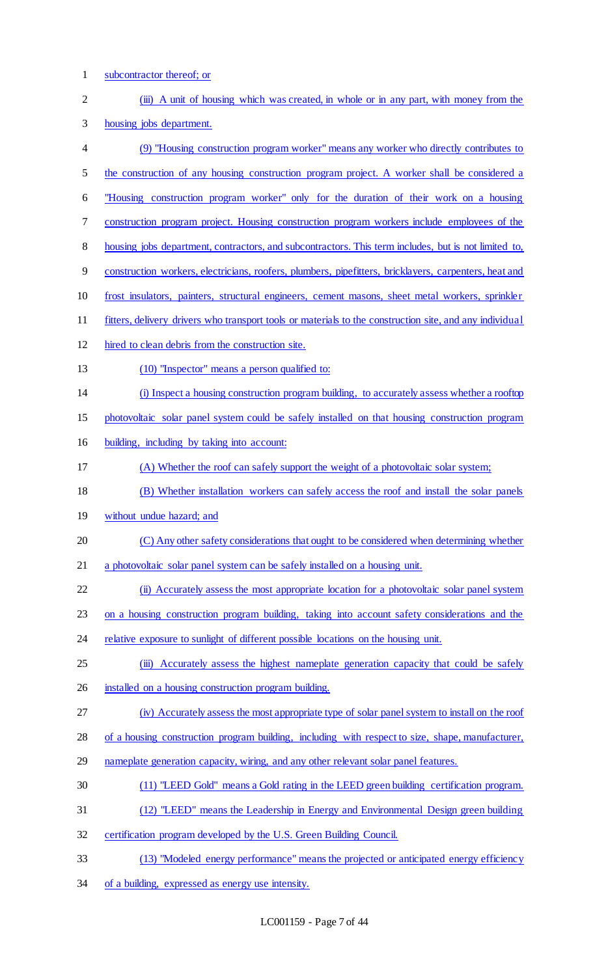subcontractor thereof; or 2 (iii) A unit of housing which was created, in whole or in any part, with money from the housing jobs department. (9) "Housing construction program worker" means any worker who directly contributes to 5 the construction of any housing construction program project. A worker shall be considered a "Housing construction program worker" only for the duration of their work on a housing construction program project. Housing construction program workers include employees of the 8 housing jobs department, contractors, and subcontractors. This term includes, but is not limited to, construction workers, electricians, roofers, plumbers, pipefitters, bricklayers, carpenters, heat and frost insulators, painters, structural engineers, cement masons, sheet metal workers, sprinkler fitters, delivery drivers who transport tools or materials to the construction site, and any individual hired to clean debris from the construction site. (10) "Inspector" means a person qualified to: (i) Inspect a housing construction program building, to accurately assess whether a rooftop photovoltaic solar panel system could be safely installed on that housing construction program building, including by taking into account: (A) Whether the roof can safely support the weight of a photovoltaic solar system; (B) Whether installation workers can safely access the roof and install the solar panels without undue hazard; and (C) Any other safety considerations that ought to be considered when determining whether a photovoltaic solar panel system can be safely installed on a housing unit. 22 (ii) Accurately assess the most appropriate location for a photovoltaic solar panel system on a housing construction program building, taking into account safety considerations and the 24 relative exposure to sunlight of different possible locations on the housing unit. 25 (iii) Accurately assess the highest nameplate generation capacity that could be safely 26 installed on a housing construction program building. (iv) Accurately assess the most appropriate type of solar panel system to install on the roof of a housing construction program building, including with respect to size, shape, manufacturer, 29 nameplate generation capacity, wiring, and any other relevant solar panel features. (11) "LEED Gold" means a Gold rating in the LEED green building certification program. (12) "LEED" means the Leadership in Energy and Environmental Design green building certification program developed by the U.S. Green Building Council. (13) "Modeled energy performance" means the projected or anticipated energy efficiency of a building, expressed as energy use intensity.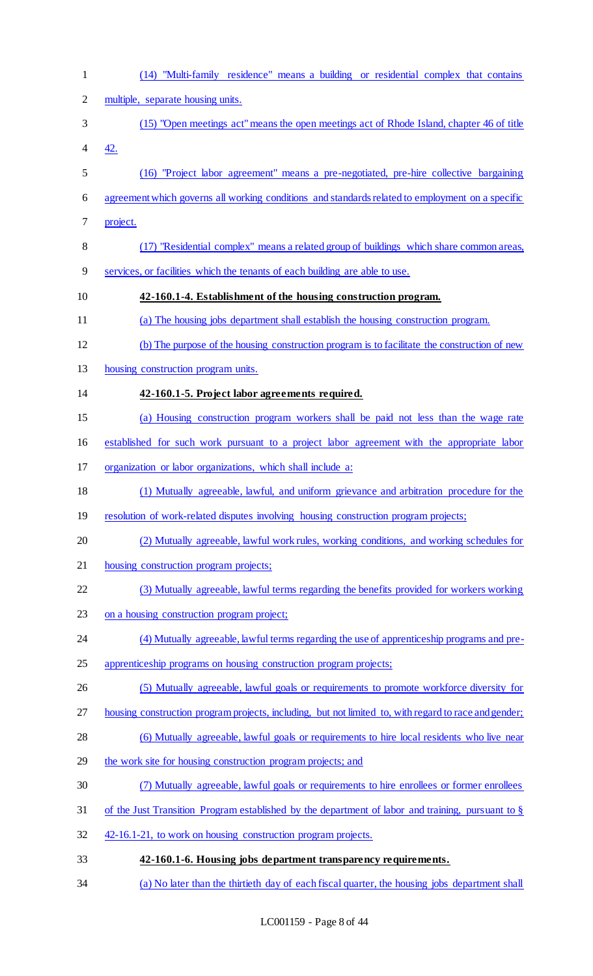| $\mathbf{1}$   | (14) "Multi-family residence" means a building or residential complex that contains                   |
|----------------|-------------------------------------------------------------------------------------------------------|
| $\overline{2}$ | multiple, separate housing units.                                                                     |
| 3              | (15) "Open meetings act" means the open meetings act of Rhode Island, chapter 46 of title             |
| 4              | 42.                                                                                                   |
| 5              | (16) "Project labor agreement" means a pre-negotiated, pre-hire collective bargaining                 |
| 6              | agreement which governs all working conditions and standards related to employment on a specific      |
| 7              | project.                                                                                              |
| 8              | (17) "Residential complex" means a related group of buildings which share common areas,               |
| 9              | services, or facilities which the tenants of each building are able to use.                           |
| 10             | 42-160.1-4. Establishment of the housing construction program.                                        |
| 11             | (a) The housing jobs department shall establish the housing construction program.                     |
| 12             | (b) The purpose of the housing construction program is to facilitate the construction of new          |
| 13             | housing construction program units.                                                                   |
| 14             | 42-160.1-5. Project labor agreements required.                                                        |
| 15             | (a) Housing construction program workers shall be paid not less than the wage rate                    |
| 16             | established for such work pursuant to a project labor agreement with the appropriate labor            |
| 17             | organization or labor organizations, which shall include a:                                           |
| 18             | (1) Mutually agreeable, lawful, and uniform grievance and arbitration procedure for the               |
| 19             | resolution of work-related disputes involving housing construction program projects;                  |
| 20             | (2) Mutually agreeable, lawful work rules, working conditions, and working schedules for              |
| 21             | housing construction program projects;                                                                |
| 22             | (3) Mutually agreeable, lawful terms regarding the benefits provided for workers working              |
| 23             | on a housing construction program project;                                                            |
| 24             | (4) Mutually agreeable, lawful terms regarding the use of apprenticeship programs and pre-            |
| 25             | apprenticeship programs on housing construction program projects;                                     |
| 26             | (5) Mutually agreeable, lawful goals or requirements to promote workforce diversity for               |
| 27             | housing construction program projects, including, but not limited to, with regard to race and gender; |
| 28             | (6) Mutually agreeable, lawful goals or requirements to hire local residents who live near            |
| 29             | the work site for housing construction program projects; and                                          |
| 30             | (7) Mutually agreeable, lawful goals or requirements to hire enrollees or former enrollees            |
| 31             | of the Just Transition Program established by the department of labor and training, pursuant to $\S$  |
| 32             | 42-16.1-21, to work on housing construction program projects.                                         |
| 33             | 42-160.1-6. Housing jobs department transparency requirements.                                        |
| 34             | (a) No later than the thirtieth day of each fiscal quarter, the housing jobs department shall         |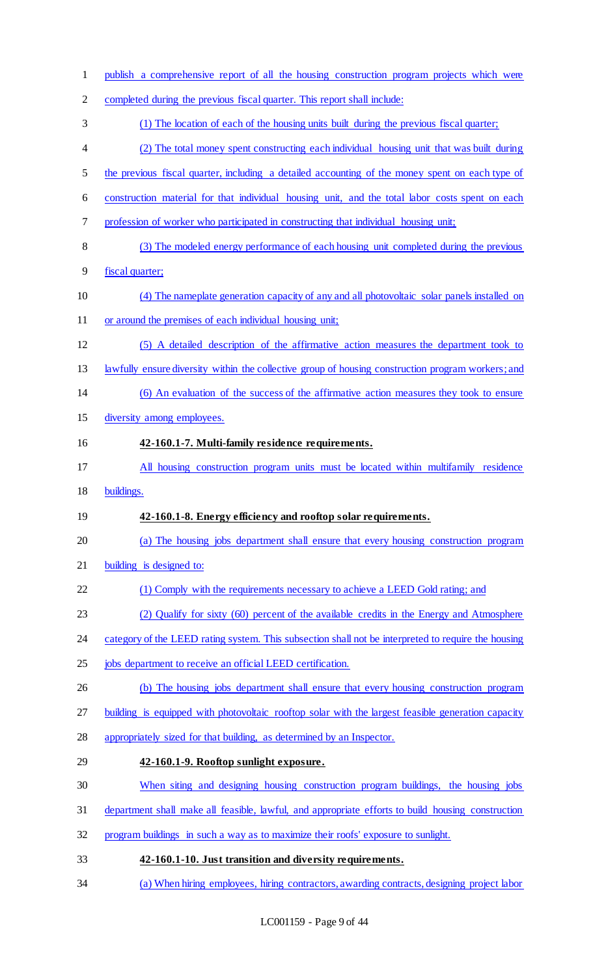| $\mathbf{1}$   | publish a comprehensive report of all the housing construction program projects which were          |
|----------------|-----------------------------------------------------------------------------------------------------|
| $\overline{c}$ | completed during the previous fiscal quarter. This report shall include:                            |
| 3              | (1) The location of each of the housing units built during the previous fiscal quarter;             |
| $\overline{4}$ | (2) The total money spent constructing each individual housing unit that was built during           |
| 5              | the previous fiscal quarter, including a detailed accounting of the money spent on each type of     |
| 6              | construction material for that individual housing unit, and the total labor costs spent on each     |
| 7              | profession of worker who participated in constructing that individual housing unit;                 |
| 8              | (3) The modeled energy performance of each housing unit completed during the previous               |
| 9              | fiscal quarter;                                                                                     |
| 10             | (4) The nameplate generation capacity of any and all photovoltaic solar panels installed on         |
| 11             | or around the premises of each individual housing unit;                                             |
| 12             | (5) A detailed description of the affirmative action measures the department took to                |
| 13             | lawfully ensure diversity within the collective group of housing construction program workers; and  |
| 14             | (6) An evaluation of the success of the affirmative action measures they took to ensure             |
| 15             | diversity among employees.                                                                          |
| 16             | 42-160.1-7. Multi-family residence requirements.                                                    |
| 17             | All housing construction program units must be located within multifamily residence                 |
| 18             | buildings.                                                                                          |
| 19             | 42-160.1-8. Energy efficiency and rooftop solar requirements.                                       |
| 20             | (a) The housing jobs department shall ensure that every housing construction program                |
| 21             | building is designed to:                                                                            |
| 22             | (1) Comply with the requirements necessary to achieve a LEED Gold rating; and                       |
| 23             | (2) Qualify for sixty (60) percent of the available credits in the Energy and Atmosphere            |
| 24             | category of the LEED rating system. This subsection shall not be interpreted to require the housing |
| 25             | jobs department to receive an official LEED certification.                                          |
| 26             | (b) The housing jobs department shall ensure that every housing construction program                |
| 27             | building is equipped with photovoltaic rooftop solar with the largest feasible generation capacity  |
| 28             | appropriately sized for that building, as determined by an Inspector.                               |
| 29             | 42-160.1-9. Rooftop sunlight exposure.                                                              |
| 30             | When siting and designing housing construction program buildings, the housing jobs                  |
| 31             | department shall make all feasible, lawful, and appropriate efforts to build housing construction   |
| 32             | program buildings in such a way as to maximize their roofs' exposure to sunlight.                   |
| 33             | 42-160.1-10. Just transition and diversity requirements.                                            |
| 34             | (a) When hiring employees, hiring contractors, awarding contracts, designing project labor          |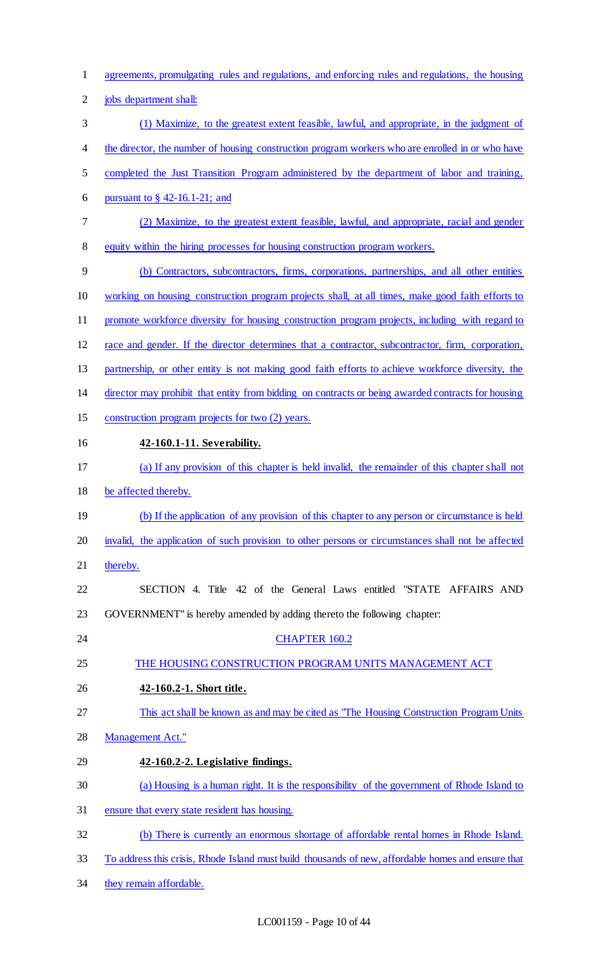- agreements, promulgating rules and regulations, and enforcing rules and regulations, the housing
- jobs department shall:
- (1) Maximize, to the greatest extent feasible, lawful, and appropriate, in the judgment of
- 4 the director, the number of housing construction program workers who are enrolled in or who have
- completed the Just Transition Program administered by the department of labor and training,
- pursuant to § 42-16.1-21; and
- (2) Maximize, to the greatest extent feasible, lawful, and appropriate, racial and gender equity within the hiring processes for housing construction program workers.
- (b) Contractors, subcontractors, firms, corporations, partnerships, and all other entities working on housing construction program projects shall, at all times, make good faith efforts to promote workforce diversity for housing construction program projects, including with regard to race and gender. If the director determines that a contractor, subcontractor, firm, corporation,
- partnership, or other entity is not making good faith efforts to achieve workforce diversity, the
- director may prohibit that entity from bidding on contracts or being awarded contracts for housing
- construction program projects for two (2) years.
- **42-160.1-11. Severability.**
- (a) If any provision of this chapter is held invalid, the remainder of this chapter shall not
- be affected thereby.
- (b) If the application of any provision of this chapter to any person or circumstance is held
- invalid, the application of such provision to other persons or circumstances shall not be affected
- 21 thereby.
- SECTION 4. Title 42 of the General Laws entitled "STATE AFFAIRS AND GOVERNMENT" is hereby amended by adding thereto the following chapter:
- 24 CHAPTER 160.2
- THE HOUSING CONSTRUCTION PROGRAM UNITS MANAGEMENT ACT
- **42-160.2-1. Short title.**
- This act shall be known as and may be cited as "The Housing Construction Program Units
- Management Act."
- **42-160.2-2. Legislative findings.**
- (a) Housing is a human right. It is the responsibility of the government of Rhode Island to
- ensure that every state resident has housing.
- (b) There is currently an enormous shortage of affordable rental homes in Rhode Island.
- To address this crisis, Rhode Island must build thousands of new, affordable homes and ensure that
- 34 they remain affordable.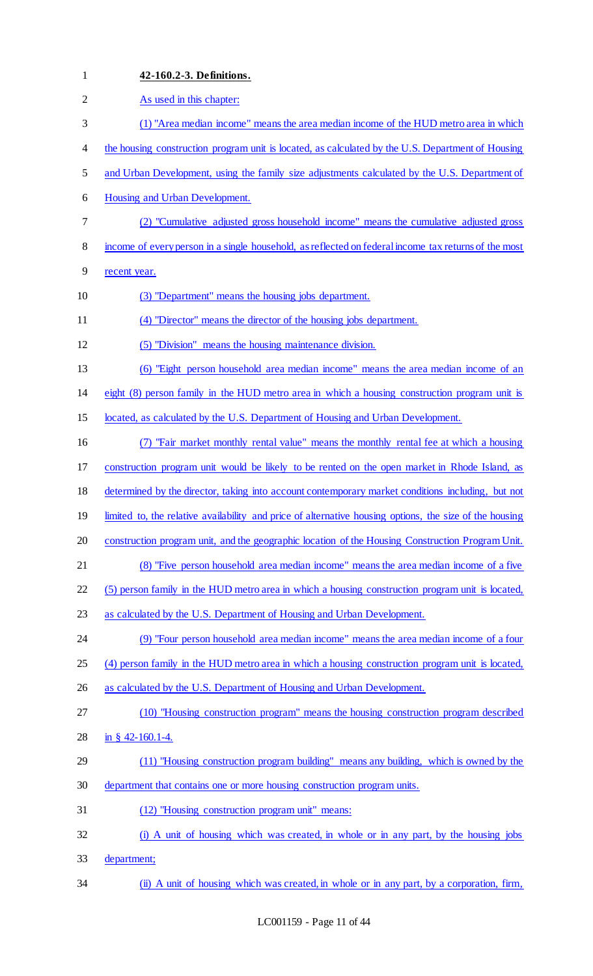| $\mathbf{1}$   | 42-160.2-3. Definitions.                                                                                |
|----------------|---------------------------------------------------------------------------------------------------------|
| $\overline{2}$ | As used in this chapter:                                                                                |
| 3              | (1) "Area median income" means the area median income of the HUD metro area in which                    |
| 4              | the housing construction program unit is located, as calculated by the U.S. Department of Housing       |
| 5              | and Urban Development, using the family size adjustments calculated by the U.S. Department of           |
| 6              | Housing and Urban Development.                                                                          |
| 7              | (2) "Cumulative adjusted gross household income" means the cumulative adjusted gross                    |
| 8              | income of every person in a single household, as reflected on federal income tax returns of the most    |
| 9              | recent year.                                                                                            |
| 10             | (3) "Department" means the housing jobs department.                                                     |
| 11             | (4) "Director" means the director of the housing jobs department.                                       |
| 12             | (5) "Division" means the housing maintenance division.                                                  |
| 13             | (6) "Eight person household area median income" means the area median income of an                      |
| 14             | eight (8) person family in the HUD metro area in which a housing construction program unit is           |
| 15             | located, as calculated by the U.S. Department of Housing and Urban Development.                         |
| 16             | "Fair market monthly rental value" means the monthly rental fee at which a housing<br>(7)               |
| 17             | construction program unit would be likely to be rented on the open market in Rhode Island, as           |
| 18             | determined by the director, taking into account contemporary market conditions including, but not       |
| 19             | limited to, the relative availability and price of alternative housing options, the size of the housing |
| 20             | construction program unit, and the geographic location of the Housing Construction Program Unit.        |
| 21             | (8) "Five person household area median income" means the area median income of a five                   |
| 22             | (5) person family in the HUD metro area in which a housing construction program unit is located,        |
| 23             | as calculated by the U.S. Department of Housing and Urban Development.                                  |
| 24             | (9) "Four person household area median income" means the area median income of a four                   |
| 25             | (4) person family in the HUD metro area in which a housing construction program unit is located,        |
| 26             | as calculated by the U.S. Department of Housing and Urban Development.                                  |
| 27             | (10) "Housing construction program" means the housing construction program described                    |
| 28             | in § 42-160.1-4.                                                                                        |
| 29             | (11) "Housing construction program building" means any building, which is owned by the                  |
| 30             | department that contains one or more housing construction program units.                                |
| 31             | (12) "Housing construction program unit" means:                                                         |
| 32             | (i) A unit of housing which was created, in whole or in any part, by the housing jobs                   |
| 33             | department;                                                                                             |
| 34             | (ii) A unit of housing which was created, in whole or in any part, by a corporation, firm,              |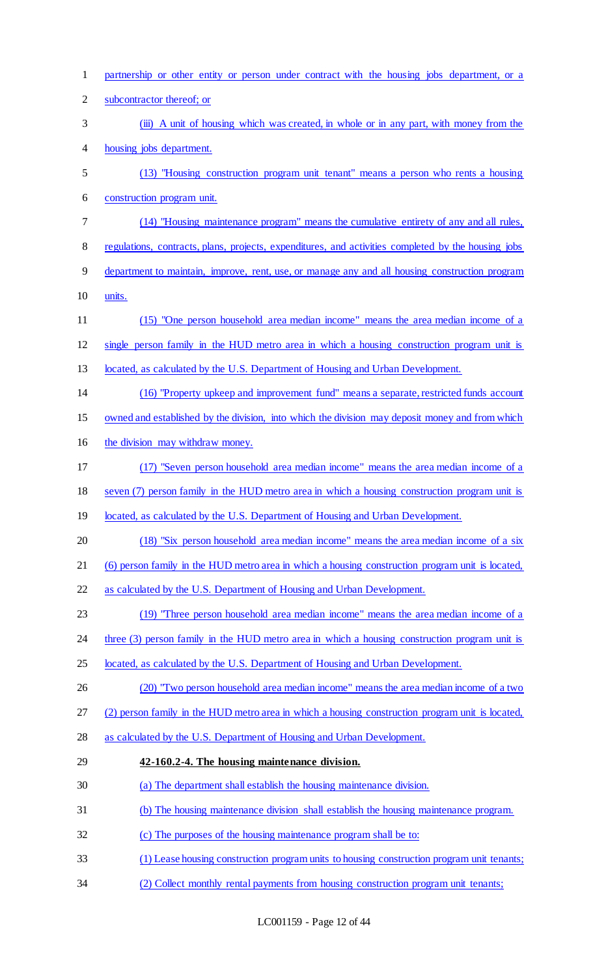| $\mathbf{1}$   | partnership or other entity or person under contract with the housing jobs department, or a         |
|----------------|-----------------------------------------------------------------------------------------------------|
| $\overline{2}$ | subcontractor thereof; or                                                                           |
| 3              | (iii) A unit of housing which was created, in whole or in any part, with money from the             |
| 4              | housing jobs department.                                                                            |
| 5              | (13) "Housing construction program unit tenant" means a person who rents a housing                  |
| 6              | construction program unit.                                                                          |
| 7              | (14) "Housing maintenance program" means the cumulative entirety of any and all rules,              |
| 8              | regulations, contracts, plans, projects, expenditures, and activities completed by the housing jobs |
| 9              | department to maintain, improve, rent, use, or manage any and all housing construction program      |
| 10             | units.                                                                                              |
| 11             | (15) "One person household area median income" means the area median income of a                    |
| 12             | single person family in the HUD metro area in which a housing construction program unit is          |
| 13             | located, as calculated by the U.S. Department of Housing and Urban Development.                     |
| 14             | (16) "Property upkeep and improvement fund" means a separate, restricted funds account              |
| 15             | owned and established by the division, into which the division may deposit money and from which     |
| 16             | the division may withdraw money.                                                                    |
| 17             | (17) "Seven person household area median income" means the area median income of a                  |
| 18             | seven (7) person family in the HUD metro area in which a housing construction program unit is       |
| 19             | located, as calculated by the U.S. Department of Housing and Urban Development.                     |
| 20             | (18) "Six person household area median income" means the area median income of a six                |
| 21             | (6) person family in the HUD metro area in which a housing construction program unit is located,    |
| 22             | as calculated by the U.S. Department of Housing and Urban Development.                              |
| 23             | (19) "Three person household area median income" means the area median income of a                  |
| 24             | three (3) person family in the HUD metro area in which a housing construction program unit is       |
| 25             | located, as calculated by the U.S. Department of Housing and Urban Development.                     |
| 26             | (20) "Two person household area median income" means the area median income of a two                |
| 27             | (2) person family in the HUD metro area in which a housing construction program unit is located,    |
| 28             | as calculated by the U.S. Department of Housing and Urban Development.                              |
| 29             | 42-160.2-4. The housing maintenance division.                                                       |
| 30             | (a) The department shall establish the housing maintenance division.                                |
| 31             | (b) The housing maintenance division shall establish the housing maintenance program.               |
| 32             | (c) The purposes of the housing maintenance program shall be to:                                    |
| 33             | (1) Lease housing construction program units to housing construction program unit tenants;          |
| 34             | Collect monthly rental payments from housing construction program unit tenants;                     |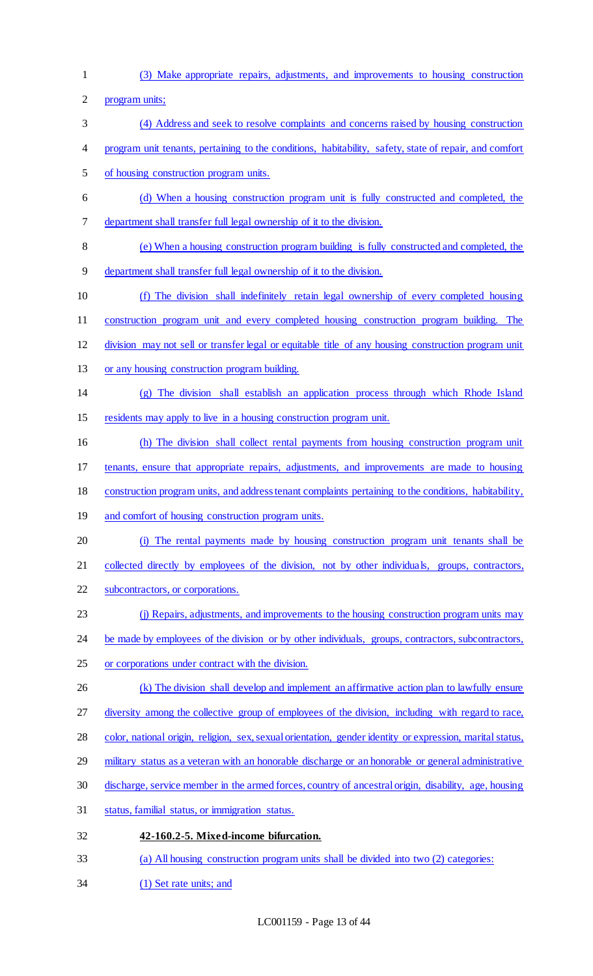(3) Make appropriate repairs, adjustments, and improvements to housing construction

program units;

- (4) Address and seek to resolve complaints and concerns raised by housing construction
- program unit tenants, pertaining to the conditions, habitability, safety, state of repair, and comfort
- of housing construction program units.
- (d) When a housing construction program unit is fully constructed and completed, the department shall transfer full legal ownership of it to the division.
- (e) When a housing construction program building is fully constructed and completed, the
- department shall transfer full legal ownership of it to the division.
- (f) The division shall indefinitely retain legal ownership of every completed housing
- construction program unit and every completed housing construction program building. The
- division may not sell or transfer legal or equitable title of any housing construction program unit
- 13 or any housing construction program building.
- (g) The division shall establish an application process through which Rhode Island residents may apply to live in a housing construction program unit.
- (h) The division shall collect rental payments from housing construction program unit
- tenants, ensure that appropriate repairs, adjustments, and improvements are made to housing
- construction program units, and address tenant complaints pertaining to the conditions, habitability,
- 19 and comfort of housing construction program units.
- (i) The rental payments made by housing construction program unit tenants shall be
- collected directly by employees of the division, not by other individuals, groups, contractors,
- subcontractors, or corporations.
- (j) Repairs, adjustments, and improvements to the housing construction program units may
- 24 be made by employees of the division or by other individuals, groups, contractors, subcontractors,
- or corporations under contract with the division.
- 26 (k) The division shall develop and implement an affirmative action plan to lawfully ensure
- 27 diversity among the collective group of employees of the division, including with regard to race,
- color, national origin, religion, sex, sexual orientation, gender identity or expression, marital status,
- 29 military status as a veteran with an honorable discharge or an honorable or general administrative
- discharge, service member in the armed forces, country of ancestral origin, disability, age, housing
- status, familial status, or immigration status.
- **42-160.2-5. Mixed-income bifurcation.**
- (a) All housing construction program units shall be divided into two (2) categories:
- (1) Set rate units; and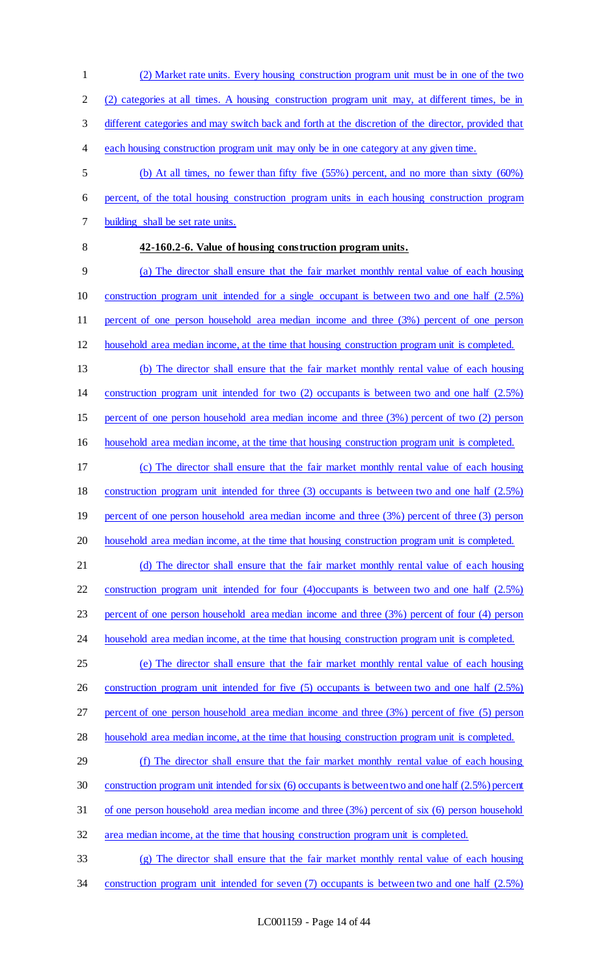(2) categories at all times. A housing construction program unit may, at different times, be in different categories and may switch back and forth at the discretion of the director, provided that each housing construction program unit may only be in one category at any given time. (b) At all times, no fewer than fifty five (55%) percent, and no more than sixty (60%) percent, of the total housing construction program units in each housing construction program building shall be set rate units. **42-160.2-6. Value of housing construction program units.**  (a) The director shall ensure that the fair market monthly rental value of each housing construction program unit intended for a single occupant is between two and one half (2.5%) percent of one person household area median income and three (3%) percent of one person

(2) Market rate units. Every housing construction program unit must be in one of the two

- household area median income, at the time that housing construction program unit is completed.
- (b) The director shall ensure that the fair market monthly rental value of each housing
- construction program unit intended for two (2) occupants is between two and one half (2.5%)

percent of one person household area median income and three (3%) percent of two (2) person

- household area median income, at the time that housing construction program unit is completed.
- (c) The director shall ensure that the fair market monthly rental value of each housing construction program unit intended for three (3) occupants is between two and one half (2.5%) percent of one person household area median income and three (3%) percent of three (3) person
- household area median income, at the time that housing construction program unit is completed.
- (d) The director shall ensure that the fair market monthly rental value of each housing construction program unit intended for four (4)occupants is between two and one half (2.5%) percent of one person household area median income and three (3%) percent of four (4) person
- 24 household area median income, at the time that housing construction program unit is completed.
- (e) The director shall ensure that the fair market monthly rental value of each housing 26 construction program unit intended for five (5) occupants is between two and one half (2.5%) percent of one person household area median income and three (3%) percent of five (5) person
- household area median income, at the time that housing construction program unit is completed.
- (f) The director shall ensure that the fair market monthly rental value of each housing construction program unit intended for six (6) occupants is between two and one half (2.5%) percent of one person household area median income and three (3%) percent of six (6) person household
- area median income, at the time that housing construction program unit is completed.
- (g) The director shall ensure that the fair market monthly rental value of each housing construction program unit intended for seven (7) occupants is between two and one half (2.5%)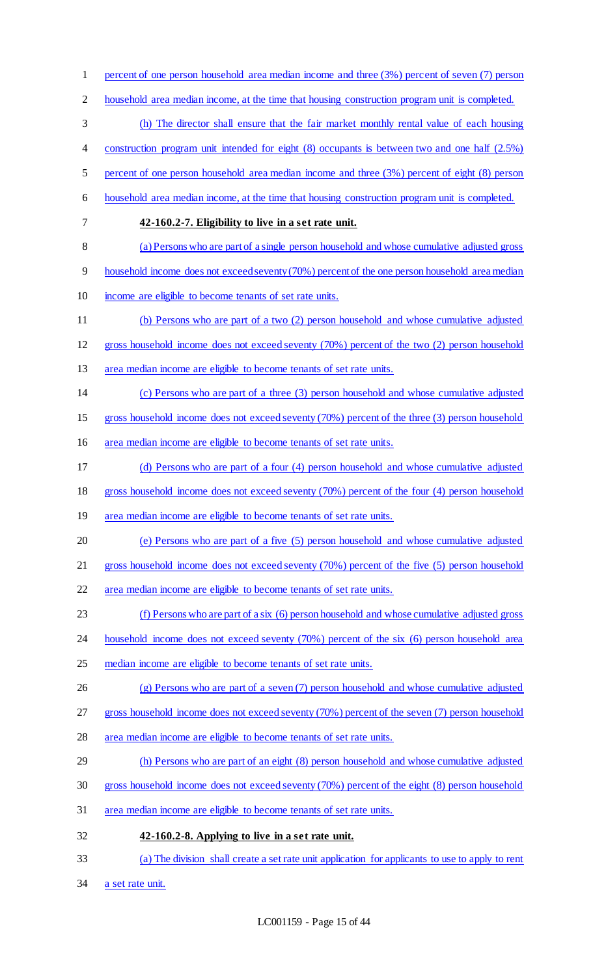percent of one person household area median income and three (3%) percent of seven (7) person household area median income, at the time that housing construction program unit is completed. (h) The director shall ensure that the fair market monthly rental value of each housing 4 construction program unit intended for eight (8) occupants is between two and one half (2.5%) percent of one person household area median income and three (3%) percent of eight (8) person household area median income, at the time that housing construction program unit is completed. **42-160.2-7. Eligibility to live in a set rate unit.**  (a) Persons who are part of a single person household and whose cumulative adjusted gross household income does not exceed seventy (70%) percent of the one person household area median income are eligible to become tenants of set rate units. (b) Persons who are part of a two (2) person household and whose cumulative adjusted gross household income does not exceed seventy (70%) percent of the two (2) person household area median income are eligible to become tenants of set rate units. (c) Persons who are part of a three (3) person household and whose cumulative adjusted gross household income does not exceed seventy (70%) percent of the three (3) person household area median income are eligible to become tenants of set rate units. (d) Persons who are part of a four (4) person household and whose cumulative adjusted gross household income does not exceed seventy (70%) percent of the four (4) person household 19 area median income are eligible to become tenants of set rate units. (e) Persons who are part of a five (5) person household and whose cumulative adjusted gross household income does not exceed seventy (70%) percent of the five (5) person household area median income are eligible to become tenants of set rate units. (f) Persons who are part of a six (6) person household and whose cumulative adjusted gross 24 household income does not exceed seventy (70%) percent of the six (6) person household area median income are eligible to become tenants of set rate units. (g) Persons who are part of a seven (7) person household and whose cumulative adjusted gross household income does not exceed seventy (70%) percent of the seven (7) person household area median income are eligible to become tenants of set rate units. (h) Persons who are part of an eight (8) person household and whose cumulative adjusted gross household income does not exceed seventy (70%) percent of the eight (8) person household area median income are eligible to become tenants of set rate units. **42-160.2-8. Applying to live in a set rate unit.**  (a) The division shall create a set rate unit application for applicants to use to apply to rent a set rate unit.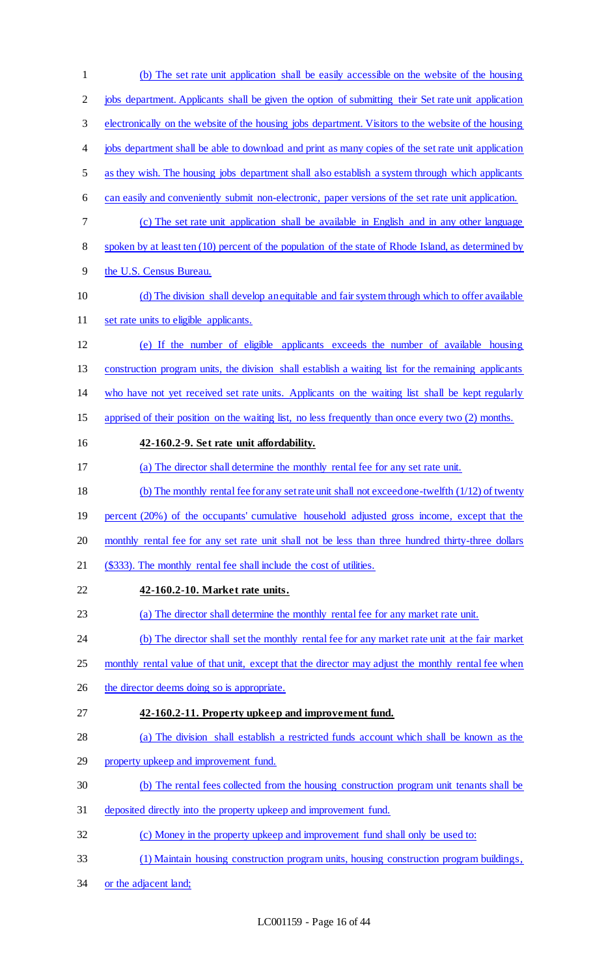(b) The set rate unit application shall be easily accessible on the website of the housing jobs department. Applicants shall be given the option of submitting their Set rate unit application electronically on the website of the housing jobs department. Visitors to the website of the housing jobs department shall be able to download and print as many copies of the set rate unit application as they wish. The housing jobs department shall also establish a system through which applicants can easily and conveniently submit non-electronic, paper versions of the set rate unit application. (c) The set rate unit application shall be available in English and in any other language spoken by at least ten (10) percent of the population of the state of Rhode Island, as determined by the U.S. Census Bureau. (d) The division shall develop an equitable and fair system through which to offer available 11 set rate units to eligible applicants. (e) If the number of eligible applicants exceeds the number of available housing construction program units, the division shall establish a waiting list for the remaining applicants who have not yet received set rate units. Applicants on the waiting list shall be kept regularly apprised of their position on the waiting list, no less frequently than once every two (2) months. **42-160.2-9. Set rate unit affordability.**  (a) The director shall determine the monthly rental fee for any set rate unit. (b) The monthly rental fee for any set rate unit shall not exceed one-twelfth (1/12) of twenty 19 percent (20%) of the occupants' cumulative household adjusted gross income, except that the 20 monthly rental fee for any set rate unit shall not be less than three hundred thirty-three dollars (\$333). The monthly rental fee shall include the cost of utilities. **42-160.2-10. Market rate units.**  (a) The director shall determine the monthly rental fee for any market rate unit. (b) The director shall set the monthly rental fee for any market rate unit at the fair market 25 monthly rental value of that unit, except that the director may adjust the monthly rental fee when 26 the director deems doing so is appropriate. **42-160.2-11. Property upkeep and improvement fund.**  (a) The division shall establish a restricted funds account which shall be known as the 29 property upkeep and improvement fund. (b) The rental fees collected from the housing construction program unit tenants shall be deposited directly into the property upkeep and improvement fund. (c) Money in the property upkeep and improvement fund shall only be used to: (1) Maintain housing construction program units, housing construction program buildings, 34 or the adjacent land;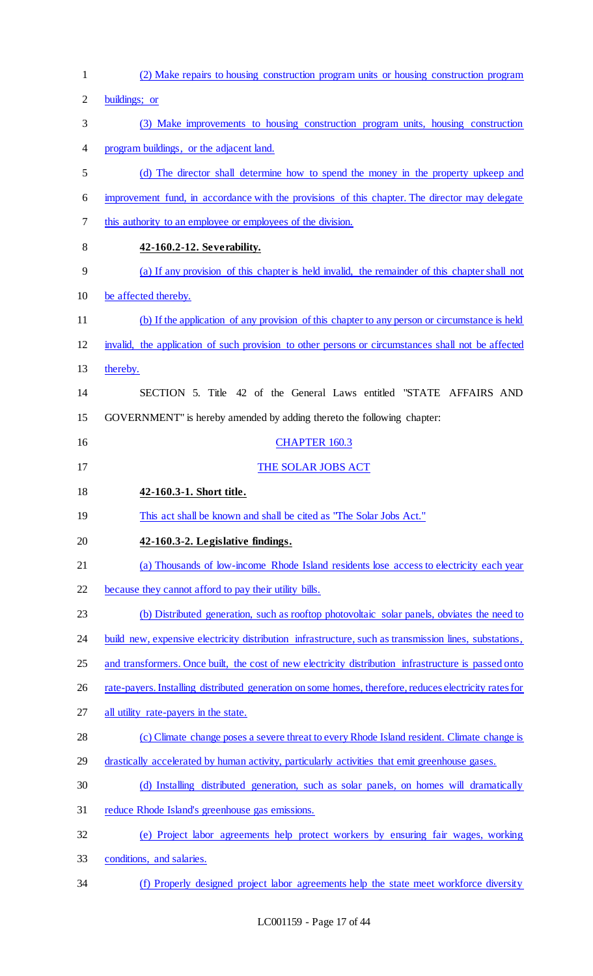| $\mathbf{1}$   | (2) Make repairs to housing construction program units or housing construction program                 |
|----------------|--------------------------------------------------------------------------------------------------------|
| $\overline{2}$ | buildings; or                                                                                          |
| 3              | (3) Make improvements to housing construction program units, housing construction                      |
| $\overline{4}$ | program buildings, or the adjacent land.                                                               |
| 5              | (d) The director shall determine how to spend the money in the property upkeep and                     |
| 6              | improvement fund, in accordance with the provisions of this chapter. The director may delegate         |
| 7              | this authority to an employee or employees of the division.                                            |
| 8              | 42-160.2-12. Severability.                                                                             |
| 9              | (a) If any provision of this chapter is held invalid, the remainder of this chapter shall not          |
| 10             | be affected thereby.                                                                                   |
| 11             | (b) If the application of any provision of this chapter to any person or circumstance is held          |
| 12             | invalid, the application of such provision to other persons or circumstances shall not be affected     |
| 13             | thereby.                                                                                               |
| 14             | SECTION 5. Title 42 of the General Laws entitled "STATE AFFAIRS AND                                    |
| 15             | GOVERNMENT" is hereby amended by adding thereto the following chapter:                                 |
| 16             | <b>CHAPTER 160.3</b>                                                                                   |
| 17             | THE SOLAR JOBS ACT                                                                                     |
|                |                                                                                                        |
| 18             | 42-160.3-1. Short title.                                                                               |
| 19             | This act shall be known and shall be cited as "The Solar Jobs Act."                                    |
| 20             | 42-160.3-2. Legislative findings.                                                                      |
| 21             | (a) Thousands of low-income Rhode Island residents lose access to electricity each year                |
| 22             | because they cannot afford to pay their utility bills.                                                 |
| 23             | (b) Distributed generation, such as rooftop photovoltaic solar panels, obviates the need to            |
| 24             | build new, expensive electricity distribution infrastructure, such as transmission lines, substations, |
| 25             | and transformers. Once built, the cost of new electricity distribution infrastructure is passed onto   |
| 26             | rate-payers. Installing distributed generation on some homes, therefore, reduces electricity rates for |
| 27             | all utility rate-payers in the state.                                                                  |
| 28             | (c) Climate change poses a severe threat to every Rhode Island resident. Climate change is             |
| 29             | drastically accelerated by human activity, particularly activities that emit greenhouse gases.         |
| 30             | (d) Installing distributed generation, such as solar panels, on homes will dramatically                |
| 31             | reduce Rhode Island's greenhouse gas emissions.                                                        |
| 32             | (e) Project labor agreements help protect workers by ensuring fair wages, working                      |
| 33             | conditions, and salaries.                                                                              |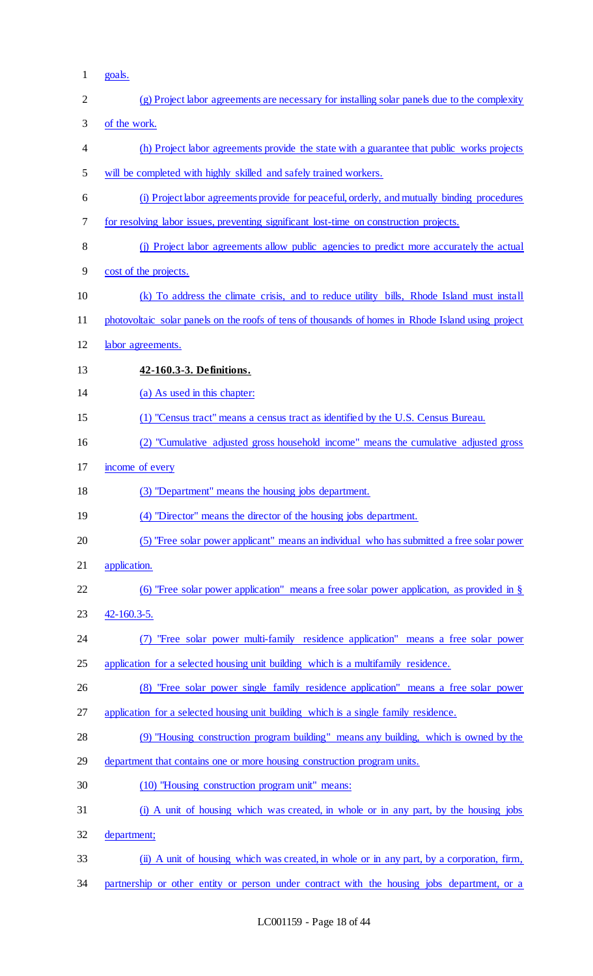1 goals.

| $\overline{2}$ | (g) Project labor agreements are necessary for installing solar panels due to the complexity       |
|----------------|----------------------------------------------------------------------------------------------------|
| 3              | of the work.                                                                                       |
| 4              | (h) Project labor agreements provide the state with a guarantee that public works projects         |
| 5              | will be completed with highly skilled and safely trained workers.                                  |
| 6              | (i) Project labor agreements provide for peaceful, orderly, and mutually binding procedures        |
| 7              | for resolving labor issues, preventing significant lost-time on construction projects.             |
| 8              | (j) Project labor agreements allow public agencies to predict more accurately the actual           |
| 9              | cost of the projects.                                                                              |
| 10             | (k) To address the climate crisis, and to reduce utility bills, Rhode Island must install          |
| 11             | photovoltaic solar panels on the roofs of tens of thousands of homes in Rhode Island using project |
| 12             | labor agreements.                                                                                  |
| 13             | 42-160.3-3. Definitions.                                                                           |
| 14             | (a) As used in this chapter:                                                                       |
| 15             | (1) "Census tract" means a census tract as identified by the U.S. Census Bureau.                   |
| 16             | (2) "Cumulative adjusted gross household income" means the cumulative adjusted gross               |
| 17             | income of every                                                                                    |
| 18             | (3) "Department" means the housing jobs department.                                                |
| 19             | (4) "Director" means the director of the housing jobs department.                                  |
| 20             | (5) "Free solar power applicant" means an individual who has submitted a free solar power          |
| 21             | application.                                                                                       |
| 22             | (6) "Free solar power application" means a free solar power application, as provided in $\S$       |
| 23             | $42 - 160.3 - 5.$                                                                                  |
| 24             | "Free solar power multi-family residence application" means a free solar power<br>(7)              |
| 25             | application for a selected housing unit building which is a multifamily residence.                 |
| 26             | (8) "Free solar power single family residence application" means a free solar power                |
| 27             | application for a selected housing unit building which is a single family residence.               |
| 28             | (9) "Housing construction program building" means any building, which is owned by the              |
| 29             | department that contains one or more housing construction program units.                           |
| 30             | (10) "Housing construction program unit" means:                                                    |
| 31             | (i) A unit of housing which was created, in whole or in any part, by the housing jobs              |
| 32             | department;                                                                                        |
| 33             | (ii) A unit of housing which was created, in whole or in any part, by a corporation, firm,         |
| 34             | partnership or other entity or person under contract with the housing jobs department, or a        |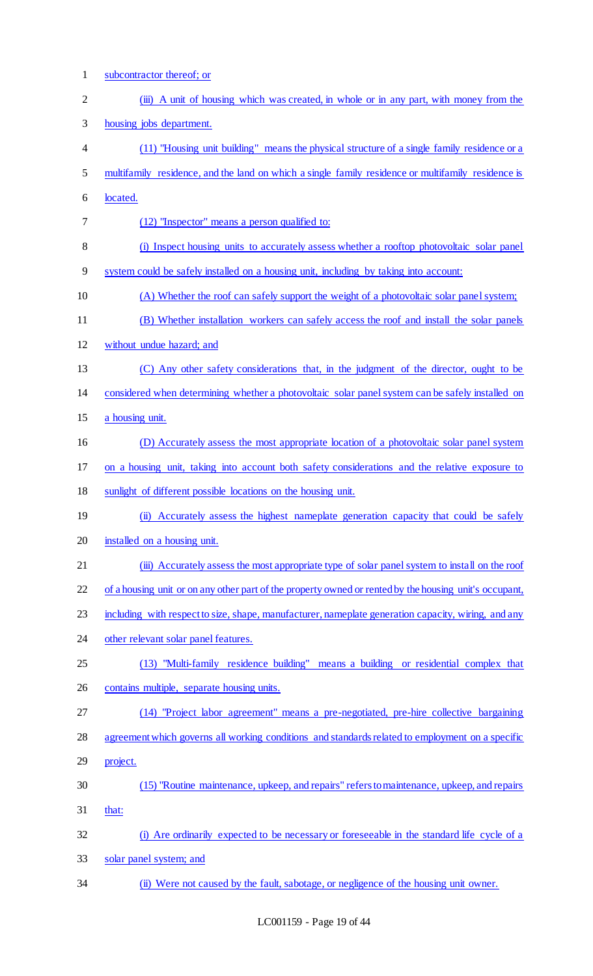| $\mathbf{1}$   | subcontractor thereof; or                                                                              |
|----------------|--------------------------------------------------------------------------------------------------------|
| $\mathbf{2}$   | (iii) A unit of housing which was created, in whole or in any part, with money from the                |
| 3              | housing jobs department.                                                                               |
| $\overline{4}$ | (11) "Housing unit building" means the physical structure of a single family residence or a            |
| 5              | multifamily residence, and the land on which a single family residence or multifamily residence is     |
| 6              | located.                                                                                               |
| 7              | (12) "Inspector" means a person qualified to:                                                          |
| 8              | (i) Inspect housing units to accurately assess whether a rooftop photovoltaic solar panel              |
| 9              | system could be safely installed on a housing unit, including by taking into account:                  |
| 10             | (A) Whether the roof can safely support the weight of a photovoltaic solar panel system;               |
| 11             | (B) Whether installation workers can safely access the roof and install the solar panels               |
| 12             | without undue hazard; and                                                                              |
| 13             | (C) Any other safety considerations that, in the judgment of the director, ought to be                 |
| 14             | considered when determining whether a photovoltaic solar panel system can be safely installed on       |
| 15             | a housing unit.                                                                                        |
| 16             | (D) Accurately assess the most appropriate location of a photovoltaic solar panel system               |
| 17             | on a housing unit, taking into account both safety considerations and the relative exposure to         |
| 18             | sunlight of different possible locations on the housing unit.                                          |
| 19             | (ii) Accurately assess the highest nameplate generation capacity that could be safely                  |
| 20             | installed on a housing unit.                                                                           |
| 21             | (iii) Accurately assess the most appropriate type of solar panel system to install on the roof         |
| 22             | of a housing unit or on any other part of the property owned or rented by the housing unit's occupant, |
| 23             | including with respect to size, shape, manufacturer, nameplate generation capacity, wiring, and any    |
| 24             | other relevant solar panel features.                                                                   |
| 25             | (13) "Multi-family residence building" means a building or residential complex that                    |
| 26             | contains multiple, separate housing units.                                                             |
| 27             | (14) "Project labor agreement" means a pre-negotiated, pre-hire collective bargaining                  |
| 28             | agreement which governs all working conditions and standards related to employment on a specific       |
| 29             | project.                                                                                               |
| 30             | (15) "Routine maintenance, upkeep, and repairs" refers to maintenance, upkeep, and repairs             |
| 31             | that:                                                                                                  |
| 32             | (i) Are ordinarily expected to be necessary or foreseeable in the standard life cycle of a             |
| 33             | solar panel system; and                                                                                |
| 34             | (ii) Were not caused by the fault, sabotage, or negligence of the housing unit owner.                  |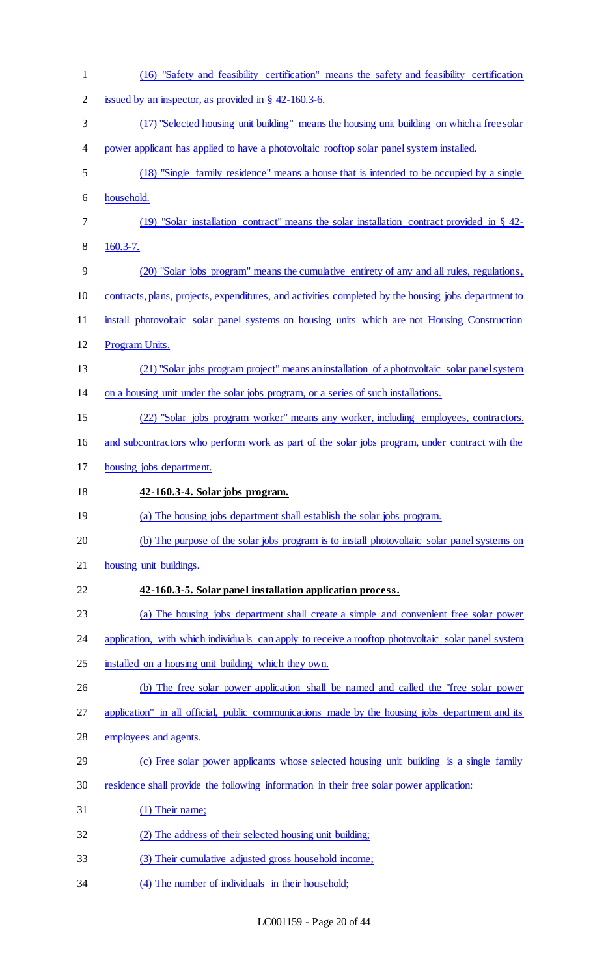(16) "Safety and feasibility certification" means the safety and feasibility certification issued by an inspector, as provided in § 42-160.3-6. (17) "Selected housing unit building" means the housing unit building on which a free solar 4 power applicant has applied to have a photovoltaic rooftop solar panel system installed. (18) "Single family residence" means a house that is intended to be occupied by a single household. (19) "Solar installation contract" means the solar installation contract provided in § 42- 160.3-7. (20) "Solar jobs program" means the cumulative entirety of any and all rules, regulations, contracts, plans, projects, expenditures, and activities completed by the housing jobs department to install photovoltaic solar panel systems on housing units which are not Housing Construction Program Units. (21) "Solar jobs program project" means an installation of a photovoltaic solar panel system on a housing unit under the solar jobs program, or a series of such installations. (22) "Solar jobs program worker" means any worker, including employees, contractors, and subcontractors who perform work as part of the solar jobs program, under contract with the housing jobs department. **42-160.3-4. Solar jobs program.**  (a) The housing jobs department shall establish the solar jobs program. (b) The purpose of the solar jobs program is to install photovoltaic solar panel systems on housing unit buildings. **42-160.3-5. Solar panel installation application process.**  (a) The housing jobs department shall create a simple and convenient free solar power 24 application, with which individuals can apply to receive a rooftop photovoltaic solar panel system installed on a housing unit building which they own. (b) The free solar power application shall be named and called the "free solar power application" in all official, public communications made by the housing jobs department and its employees and agents. 29 (c) Free solar power applicants whose selected housing unit building is a single family residence shall provide the following information in their free solar power application: (1) Their name; (2) The address of their selected housing unit building; (3) Their cumulative adjusted gross household income; (4) The number of individuals in their household;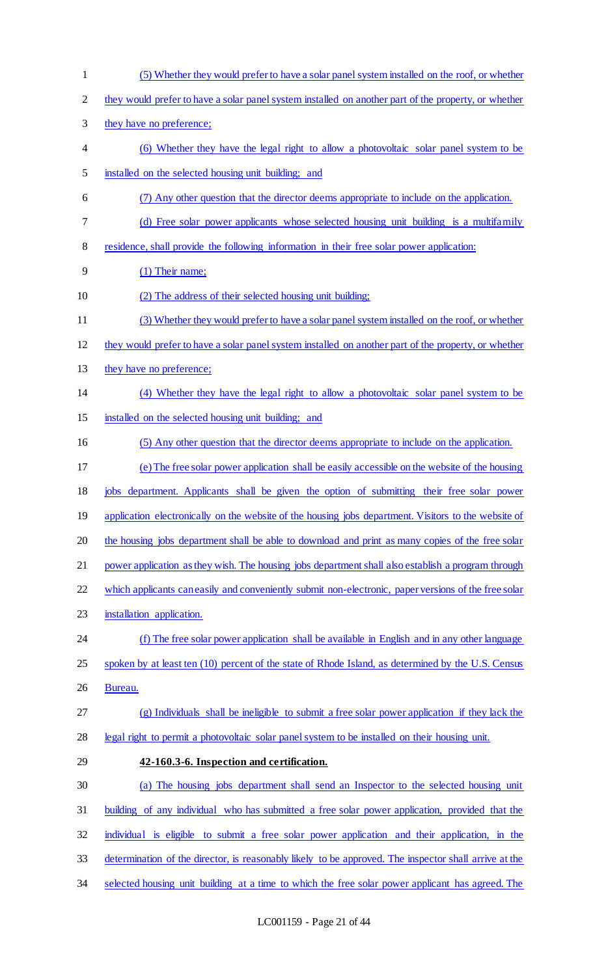(5) Whether they would prefer to have a solar panel system installed on the roof, or whether they would prefer to have a solar panel system installed on another part of the property, or whether they have no preference; (6) Whether they have the legal right to allow a photovoltaic solar panel system to be installed on the selected housing unit building; and (7) Any other question that the director deems appropriate to include on the application. (d) Free solar power applicants whose selected housing unit building is a multifamily residence, shall provide the following information in their free solar power application: (1) Their name; (2) The address of their selected housing unit building; (3) Whether they would prefer to have a solar panel system installed on the roof, or whether they would prefer to have a solar panel system installed on another part of the property, or whether 13 they have no preference; (4) Whether they have the legal right to allow a photovoltaic solar panel system to be installed on the selected housing unit building; and (5) Any other question that the director deems appropriate to include on the application. (e) The free solar power application shall be easily accessible on the website of the housing jobs department. Applicants shall be given the option of submitting their free solar power 19 application electronically on the website of the housing jobs department. Visitors to the website of 20 the housing jobs department shall be able to download and print as many copies of the free solar power application as they wish. The housing jobs department shall also establish a program through which applicants can easily and conveniently submit non-electronic, paper versions of the free solar installation application. (f) The free solar power application shall be available in English and in any other language 25 spoken by at least ten (10) percent of the state of Rhode Island, as determined by the U.S. Census Bureau. (g) Individuals shall be ineligible to submit a free solar power application if they lack the legal right to permit a photovoltaic solar panel system to be installed on their housing unit. **42-160.3-6. Inspection and certification.**  (a) The housing jobs department shall send an Inspector to the selected housing unit building of any individual who has submitted a free solar power application, provided that the individual is eligible to submit a free solar power application and their application, in the determination of the director, is reasonably likely to be approved. The inspector shall arrive at the selected housing unit building at a time to which the free solar power applicant has agreed. The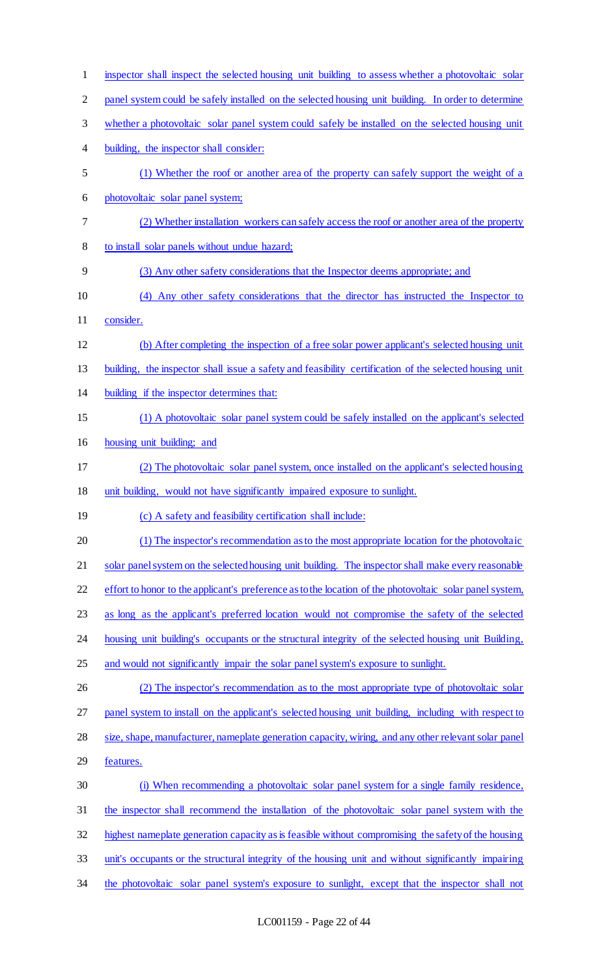| $\mathbf{1}$   | inspector shall inspect the selected housing unit building to assess whether a photovoltaic solar        |
|----------------|----------------------------------------------------------------------------------------------------------|
| $\overline{2}$ | panel system could be safely installed on the selected housing unit building. In order to determine      |
| 3              | whether a photovoltaic solar panel system could safely be installed on the selected housing unit         |
| 4              | building, the inspector shall consider:                                                                  |
| 5              | (1) Whether the roof or another area of the property can safely support the weight of a                  |
| 6              | photovoltaic solar panel system;                                                                         |
| 7              | (2) Whether installation workers can safely access the roof or another area of the property              |
| 8              | to install solar panels without undue hazard;                                                            |
| 9              | (3) Any other safety considerations that the Inspector deems appropriate; and                            |
| 10             | (4) Any other safety considerations that the director has instructed the Inspector to                    |
| 11             | consider.                                                                                                |
| 12             | (b) After completing the inspection of a free solar power applicant's selected housing unit              |
| 13             | building, the inspector shall issue a safety and feasibility certification of the selected housing unit  |
| 14             | building if the inspector determines that:                                                               |
| 15             | (1) A photovoltaic solar panel system could be safely installed on the applicant's selected              |
| 16             | housing unit building; and                                                                               |
| 17             | (2) The photovoltaic solar panel system, once installed on the applicant's selected housing              |
| 18             | unit building, would not have significantly impaired exposure to sunlight.                               |
| 19             | (c) A safety and feasibility certification shall include:                                                |
| 20             | (1) The inspector's recommendation as to the most appropriate location for the photovoltaic              |
| 21             | solar panel system on the selected housing unit building. The inspector shall make every reasonable      |
| 22             | effort to honor to the applicant's preference as to the location of the photovoltaic solar panel system, |
| 23             | as long as the applicant's preferred location would not compromise the safety of the selected            |
| 24             | housing unit building's occupants or the structural integrity of the selected housing unit Building,     |
| 25             | and would not significantly impair the solar panel system's exposure to sunlight.                        |
| 26             | (2) The inspector's recommendation as to the most appropriate type of photovoltaic solar                 |
| 27             | panel system to install on the applicant's selected housing unit building, including with respect to     |
| 28             | size, shape, manufacturer, nameplate generation capacity, wiring, and any other relevant solar panel     |
| 29             | features.                                                                                                |
| 30             | (i) When recommending a photovoltaic solar panel system for a single family residence,                   |
| 31             | the inspector shall recommend the installation of the photovoltaic solar panel system with the           |
| 32             | highest nameplate generation capacity as is feasible without compromising the safety of the housing      |
| 33             | unit's occupants or the structural integrity of the housing unit and without significantly impairing     |
| 34             | the photovoltaic solar panel system's exposure to sunlight, except that the inspector shall not          |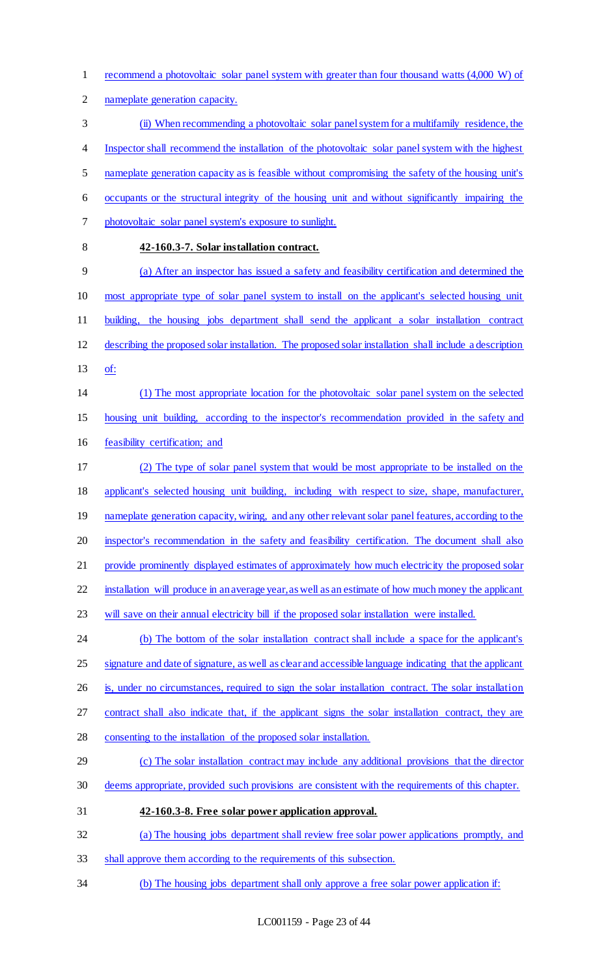recommend a photovoltaic solar panel system with greater than four thousand watts (4,000 W) of

nameplate generation capacity.

 (ii) When recommending a photovoltaic solar panel system for a multifamily residence, the Inspector shall recommend the installation of the photovoltaic solar panel system with the highest nameplate generation capacity as is feasible without compromising the safety of the housing unit's occupants or the structural integrity of the housing unit and without significantly impairing the

- photovoltaic solar panel system's exposure to sunlight.
- 

## **42-160.3-7. Solar installation contract.**

 (a) After an inspector has issued a safety and feasibility certification and determined the most appropriate type of solar panel system to install on the applicant's selected housing unit building, the housing jobs department shall send the applicant a solar installation contract describing the proposed solar installation. The proposed solar installation shall include a description of:

 (1) The most appropriate location for the photovoltaic solar panel system on the selected housing unit building, according to the inspector's recommendation provided in the safety and feasibility certification; and

 (2) The type of solar panel system that would be most appropriate to be installed on the applicant's selected housing unit building, including with respect to size, shape, manufacturer, 19 nameplate generation capacity, wiring, and any other relevant solar panel features, according to the inspector's recommendation in the safety and feasibility certification. The document shall also provide prominently displayed estimates of approximately how much electricity the proposed solar

installation will produce in an average year, as well as an estimate of how much money the applicant

will save on their annual electricity bill if the proposed solar installation were installed.

 (b) The bottom of the solar installation contract shall include a space for the applicant's 25 signature and date of signature, as well as clear and accessible language indicating that the applicant

is, under no circumstances, required to sign the solar installation contract. The solar installation

contract shall also indicate that, if the applicant signs the solar installation contract, they are

consenting to the installation of the proposed solar installation.

# (c) The solar installation contract may include any additional provisions that the director deems appropriate, provided such provisions are consistent with the requirements of this chapter.

**42-160.3-8. Free solar power application approval.** 

(a) The housing jobs department shall review free solar power applications promptly, and

- shall approve them according to the requirements of this subsection.
- (b) The housing jobs department shall only approve a free solar power application if: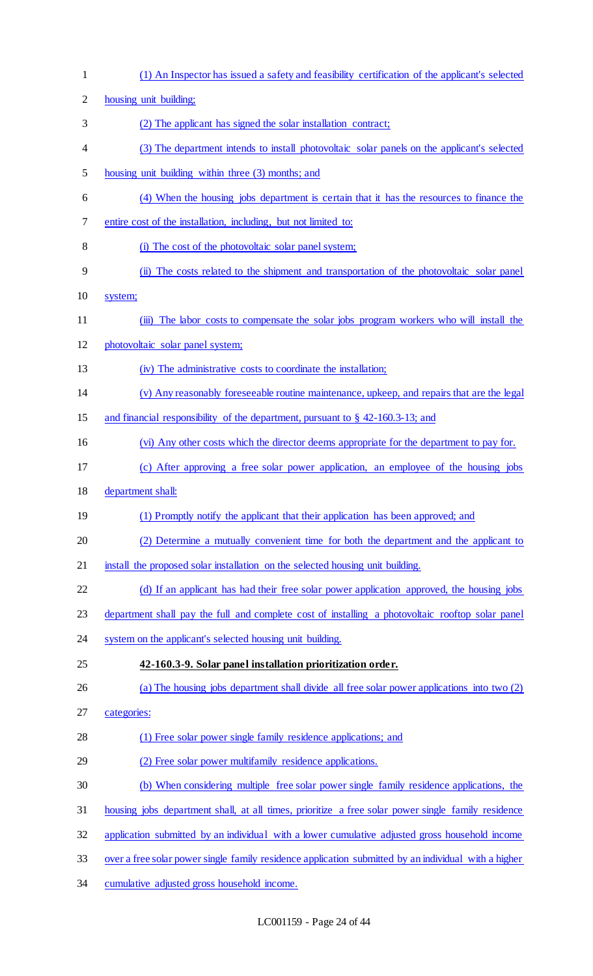| $\mathbf{1}$   | (1) An Inspector has issued a safety and feasibility certification of the applicant's selected       |
|----------------|------------------------------------------------------------------------------------------------------|
| $\overline{2}$ | housing unit building;                                                                               |
| 3              | (2) The applicant has signed the solar installation contract;                                        |
| 4              | (3) The department intends to install photovoltaic solar panels on the applicant's selected          |
| 5              | housing unit building within three (3) months; and                                                   |
| 6              | (4) When the housing jobs department is certain that it has the resources to finance the             |
| 7              | entire cost of the installation, including, but not limited to:                                      |
| 8              | (i) The cost of the photovoltaic solar panel system;                                                 |
| 9              | (ii) The costs related to the shipment and transportation of the photovoltaic solar panel            |
| 10             | system;                                                                                              |
| 11             | The labor costs to compensate the solar jobs program workers who will install the<br>(iii)           |
| 12             | photovoltaic solar panel system;                                                                     |
| 13             | (iv) The administrative costs to coordinate the installation;                                        |
| 14             | (v) Any reasonably foreseeable routine maintenance, upkeep, and repairs that are the legal           |
| 15             | and financial responsibility of the department, pursuant to $\S$ 42-160.3-13; and                    |
| 16             | (vi) Any other costs which the director deems appropriate for the department to pay for.             |
| 17             | (c) After approving a free solar power application, an employee of the housing jobs                  |
| 18             | department shall:                                                                                    |
| 19             | (1) Promptly notify the applicant that their application has been approved; and                      |
| 20             | (2) Determine a mutually convenient time for both the department and the applicant to                |
| 21             | install the proposed solar installation on the selected housing unit building.                       |
| 22             | (d) If an applicant has had their free solar power application approved, the housing jobs            |
| 23             | department shall pay the full and complete cost of installing a photovoltaic rooftop solar panel     |
| 24             | system on the applicant's selected housing unit building.                                            |
| 25             | 42-160.3-9. Solar panel installation prioritization order.                                           |
| 26             | (a) The housing jobs department shall divide all free solar power applications into two (2)          |
| 27             | categories:                                                                                          |
| 28             | (1) Free solar power single family residence applications; and                                       |
| 29             | (2) Free solar power multifamily residence applications.                                             |
| 30             | (b) When considering multiple free solar power single family residence applications, the             |
| 31             | housing jobs department shall, at all times, prioritize a free solar power single family residence   |
| 32             | application submitted by an individual with a lower cumulative adjusted gross household income       |
| 33             | over a free solar power single family residence application submitted by an individual with a higher |
| 34             | cumulative adjusted gross household income.                                                          |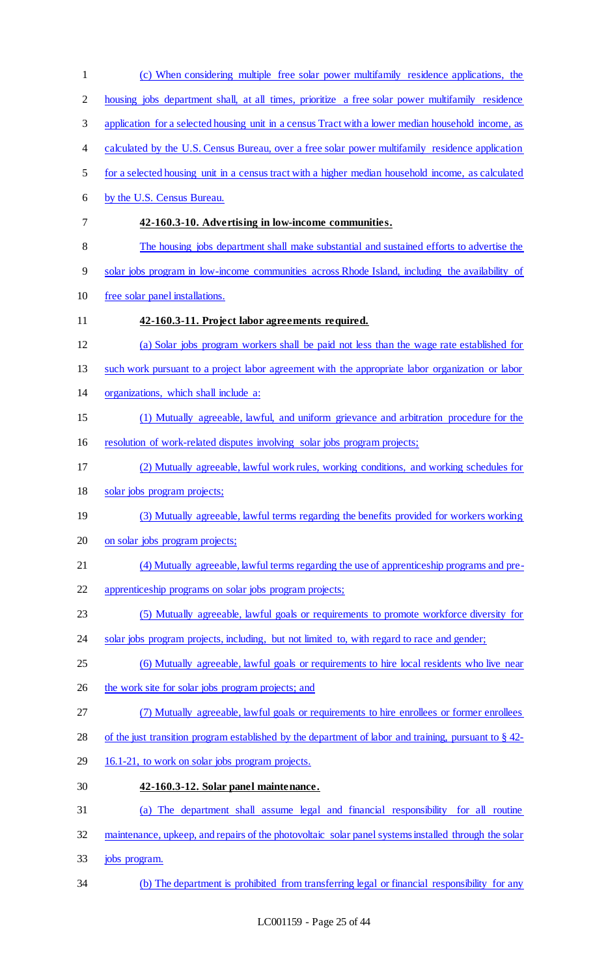(c) When considering multiple free solar power multifamily residence applications, the housing jobs department shall, at all times, prioritize a free solar power multifamily residence application for a selected housing unit in a census Tract with a lower median household income, as 4 calculated by the U.S. Census Bureau, over a free solar power multifamily residence application for a selected housing unit in a census tract with a higher median household income, as calculated by the U.S. Census Bureau. **42-160.3-10. Advertising in low-income communities.**  The housing jobs department shall make substantial and sustained efforts to advertise the solar jobs program in low-income communities across Rhode Island, including the availability of free solar panel installations. **42-160.3-11. Project labor agreements required.**  (a) Solar jobs program workers shall be paid not less than the wage rate established for such work pursuant to a project labor agreement with the appropriate labor organization or labor organizations, which shall include a: (1) Mutually agreeable, lawful, and uniform grievance and arbitration procedure for the 16 resolution of work-related disputes involving solar jobs program projects; (2) Mutually agreeable, lawful work rules, working conditions, and working schedules for solar jobs program projects; (3) Mutually agreeable, lawful terms regarding the benefits provided for workers working on solar jobs program projects; (4) Mutually agreeable, lawful terms regarding the use of apprenticeship programs and pre- apprenticeship programs on solar jobs program projects; (5) Mutually agreeable, lawful goals or requirements to promote workforce diversity for 24 solar jobs program projects, including, but not limited to, with regard to race and gender; 25 (6) Mutually agreeable, lawful goals or requirements to hire local residents who live near 26 the work site for solar jobs program projects; and (7) Mutually agreeable, lawful goals or requirements to hire enrollees or former enrollees 28 of the just transition program established by the department of labor and training, pursuant to § 42-29 16.1-21, to work on solar jobs program projects. **42-160.3-12. Solar panel maintenance.**  (a) The department shall assume legal and financial responsibility for all routine maintenance, upkeep, and repairs of the photovoltaic solar panel systems installed through the solar jobs program. (b) The department is prohibited from transferring legal or financial responsibility for any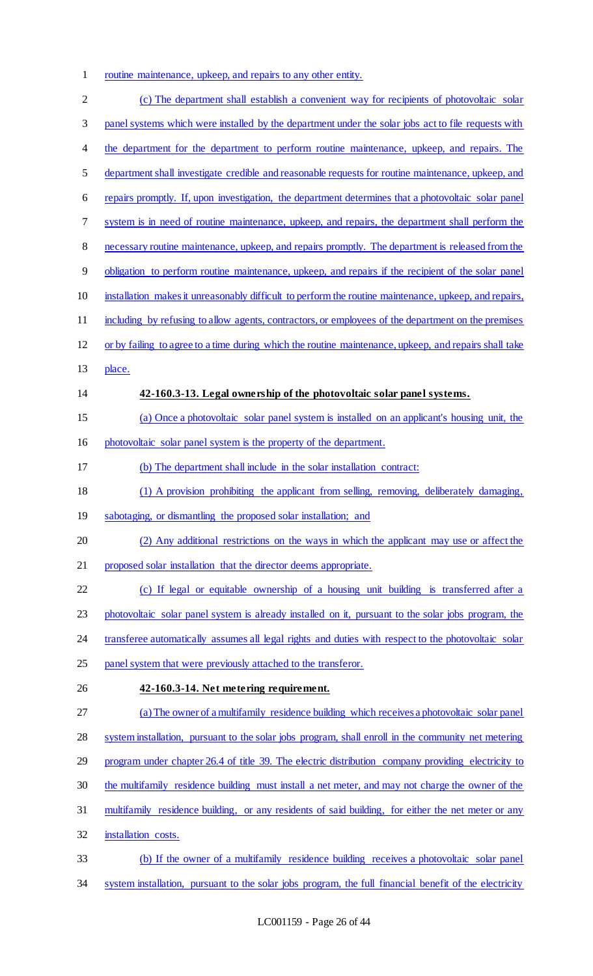routine maintenance, upkeep, and repairs to any other entity.

 (c) The department shall establish a convenient way for recipients of photovoltaic solar panel systems which were installed by the department under the solar jobs act to file requests with 4 the department for the department to perform routine maintenance, upkeep, and repairs. The department shall investigate credible and reasonable requests for routine maintenance, upkeep, and repairs promptly. If, upon investigation, the department determines that a photovoltaic solar panel system is in need of routine maintenance, upkeep, and repairs, the department shall perform the necessary routine maintenance, upkeep, and repairs promptly. The department is released from the obligation to perform routine maintenance, upkeep, and repairs if the recipient of the solar panel installation makes it unreasonably difficult to perform the routine maintenance, upkeep, and repairs, including by refusing to allow agents, contractors, or employees of the department on the premises or by failing to agree to a time during which the routine maintenance, upkeep, and repairs shall take place. **42-160.3-13. Legal ownership of the photovoltaic solar panel systems.**  (a) Once a photovoltaic solar panel system is installed on an applicant's housing unit, the photovoltaic solar panel system is the property of the department. (b) The department shall include in the solar installation contract: (1) A provision prohibiting the applicant from selling, removing, deliberately damaging, 19 sabotaging, or dismantling the proposed solar installation; and (2) Any additional restrictions on the ways in which the applicant may use or affect the proposed solar installation that the director deems appropriate. (c) If legal or equitable ownership of a housing unit building is transferred after a photovoltaic solar panel system is already installed on it, pursuant to the solar jobs program, the 24 transferee automatically assumes all legal rights and duties with respect to the photovoltaic solar panel system that were previously attached to the transferor. **42-160.3-14. Net metering requirement.**  (a) The owner of a multifamily residence building which receives a photovoltaic solar panel system installation, pursuant to the solar jobs program, shall enroll in the community net metering program under chapter 26.4 of title 39. The electric distribution company providing electricity to the multifamily residence building must install a net meter, and may not charge the owner of the multifamily residence building, or any residents of said building, for either the net meter or any installation costs. (b) If the owner of a multifamily residence building receives a photovoltaic solar panel 34 system installation, pursuant to the solar jobs program, the full financial benefit of the electricity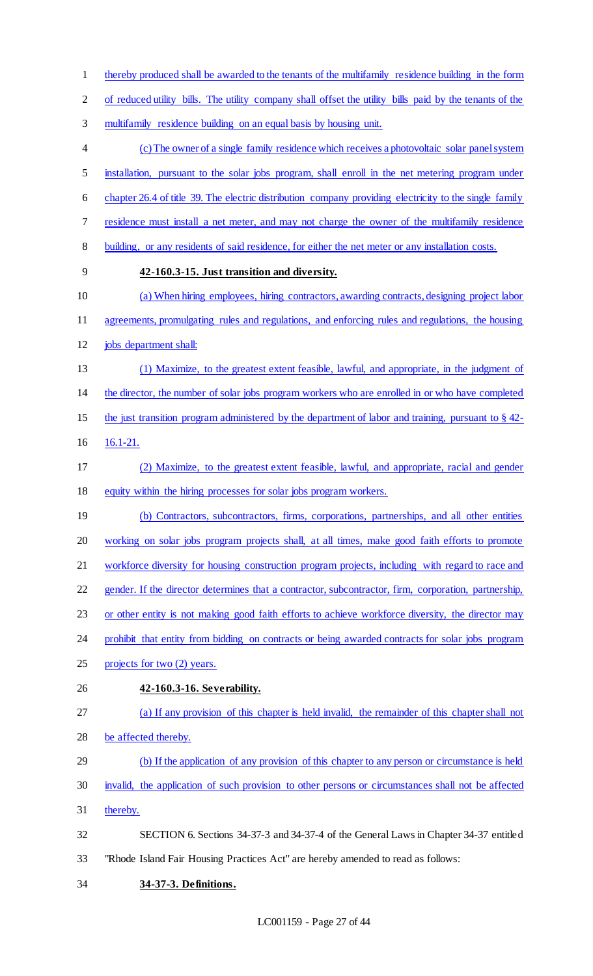thereby produced shall be awarded to the tenants of the multifamily residence building in the form

of reduced utility bills. The utility company shall offset the utility bills paid by the tenants of the

multifamily residence building on an equal basis by housing unit.

 (c) The owner of a single family residence which receives a photovoltaic solar panel system installation, pursuant to the solar jobs program, shall enroll in the net metering program under chapter 26.4 of title 39. The electric distribution company providing electricity to the single family residence must install a net meter, and may not charge the owner of the multifamily residence building, or any residents of said residence, for either the net meter or any installation costs. **42-160.3-15. Just transition and diversity.** 

- (a) When hiring employees, hiring contractors, awarding contracts, designing project labor agreements, promulgating rules and regulations, and enforcing rules and regulations, the housing
- jobs department shall:
- (1) Maximize, to the greatest extent feasible, lawful, and appropriate, in the judgment of the director, the number of solar jobs program workers who are enrolled in or who have completed
- the just transition program administered by the department of labor and training, pursuant to § 42-
- 16.1-21.
- (2) Maximize, to the greatest extent feasible, lawful, and appropriate, racial and gender equity within the hiring processes for solar jobs program workers.
- 19 (b) Contractors, subcontractors, firms, corporations, partnerships, and all other entities working on solar jobs program projects shall, at all times, make good faith efforts to promote workforce diversity for housing construction program projects, including with regard to race and gender. If the director determines that a contractor, subcontractor, firm, corporation, partnership,
- or other entity is not making good faith efforts to achieve workforce diversity, the director may
- 24 prohibit that entity from bidding on contracts or being awarded contracts for solar jobs program
- projects for two (2) years.
- **42-160.3-16. Severability.**
- (a) If any provision of this chapter is held invalid, the remainder of this chapter shall not be affected thereby.
- (b) If the application of any provision of this chapter to any person or circumstance is held
- invalid, the application of such provision to other persons or circumstances shall not be affected
- thereby.
- SECTION 6. Sections 34-37-3 and 34-37-4 of the General Laws in Chapter 34-37 entitled
- "Rhode Island Fair Housing Practices Act" are hereby amended to read as follows:
- **34-37-3. Definitions.**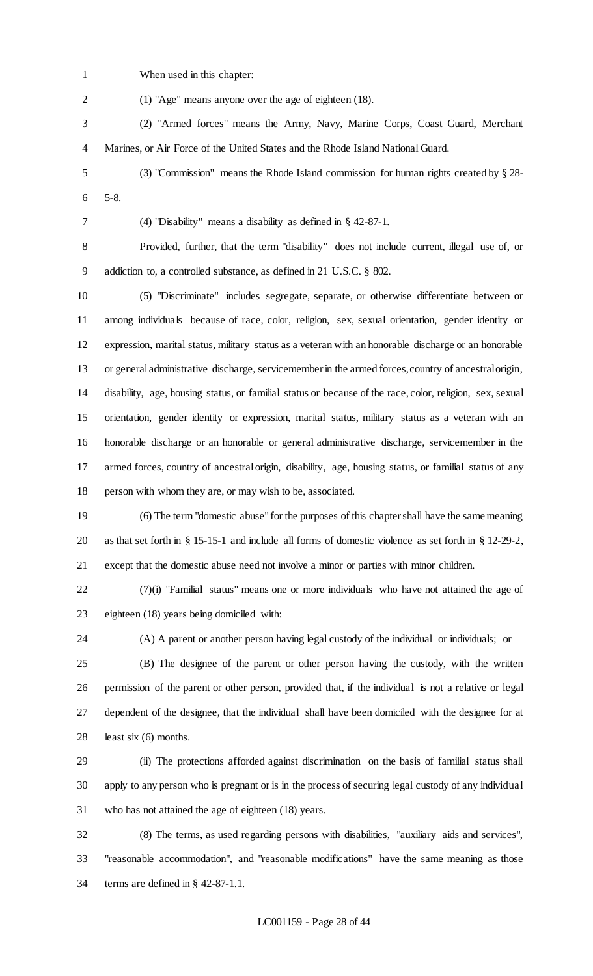When used in this chapter:

(1) "Age" means anyone over the age of eighteen (18).

 (2) "Armed forces" means the Army, Navy, Marine Corps, Coast Guard, Merchant Marines, or Air Force of the United States and the Rhode Island National Guard.

 (3) "Commission" means the Rhode Island commission for human rights created by § 28- 5-8.

(4) "Disability" means a disability as defined in § 42-87-1.

 Provided, further, that the term "disability" does not include current, illegal use of, or addiction to, a controlled substance, as defined in 21 U.S.C. § 802.

 (5) "Discriminate" includes segregate, separate, or otherwise differentiate between or among individuals because of race, color, religion, sex, sexual orientation, gender identity or expression, marital status, military status as a veteran with an honorable discharge or an honorable or general administrative discharge, servicemember in the armed forces, country of ancestral origin, disability, age, housing status, or familial status or because of the race, color, religion, sex, sexual orientation, gender identity or expression, marital status, military status as a veteran with an honorable discharge or an honorable or general administrative discharge, servicemember in the armed forces, country of ancestral origin, disability, age, housing status, or familial status of any person with whom they are, or may wish to be, associated.

 (6) The term "domestic abuse" for the purposes of this chapter shall have the same meaning as that set forth in § 15-15-1 and include all forms of domestic violence as set forth in § 12-29-2, except that the domestic abuse need not involve a minor or parties with minor children.

 (7)(i) "Familial status" means one or more individuals who have not attained the age of eighteen (18) years being domiciled with:

(A) A parent or another person having legal custody of the individual or individuals; or

 (B) The designee of the parent or other person having the custody, with the written permission of the parent or other person, provided that, if the individual is not a relative or legal dependent of the designee, that the individual shall have been domiciled with the designee for at least six (6) months.

 (ii) The protections afforded against discrimination on the basis of familial status shall apply to any person who is pregnant or is in the process of securing legal custody of any individual who has not attained the age of eighteen (18) years.

 (8) The terms, as used regarding persons with disabilities, "auxiliary aids and services", "reasonable accommodation", and "reasonable modifications" have the same meaning as those terms are defined in § 42-87-1.1.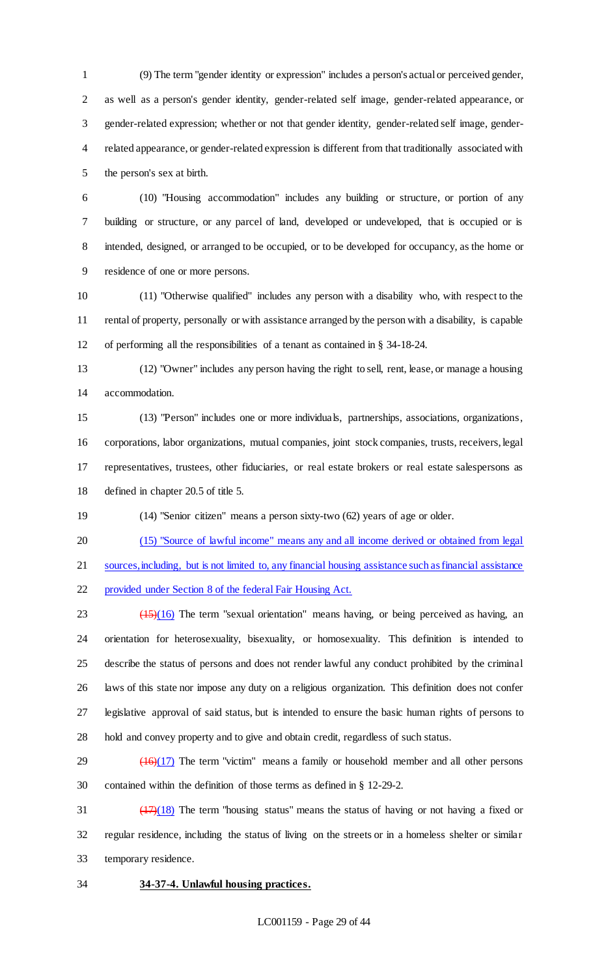(9) The term "gender identity or expression" includes a person's actual or perceived gender, as well as a person's gender identity, gender-related self image, gender-related appearance, or gender-related expression; whether or not that gender identity, gender-related self image, gender- related appearance, or gender-related expression is different from that traditionally associated with the person's sex at birth.

 (10) "Housing accommodation" includes any building or structure, or portion of any building or structure, or any parcel of land, developed or undeveloped, that is occupied or is intended, designed, or arranged to be occupied, or to be developed for occupancy, as the home or residence of one or more persons.

 (11) "Otherwise qualified" includes any person with a disability who, with respect to the rental of property, personally or with assistance arranged by the person with a disability, is capable of performing all the responsibilities of a tenant as contained in § 34-18-24.

 (12) "Owner" includes any person having the right to sell, rent, lease, or manage a housing accommodation.

 (13) "Person" includes one or more individuals, partnerships, associations, organizations, corporations, labor organizations, mutual companies, joint stock companies, trusts, receivers, legal representatives, trustees, other fiduciaries, or real estate brokers or real estate salespersons as defined in chapter 20.5 of title 5.

(14) "Senior citizen" means a person sixty-two (62) years of age or older.

(15) "Source of lawful income" means any and all income derived or obtained from legal

sources, including, but is not limited to, any financial housing assistance such as financial assistance

provided under Section 8 of the federal Fair Housing Act.

 $23 \left( \frac{(15)(16)}{2} \right)$  The term "sexual orientation" means having, or being perceived as having, an orientation for heterosexuality, bisexuality, or homosexuality. This definition is intended to describe the status of persons and does not render lawful any conduct prohibited by the criminal laws of this state nor impose any duty on a religious organization. This definition does not confer legislative approval of said status, but is intended to ensure the basic human rights of persons to hold and convey property and to give and obtain credit, regardless of such status.

 ( $\frac{(16)(17)}{29}$  The term "victim" means a family or household member and all other persons contained within the definition of those terms as defined in § 12-29-2.

 $\frac{(17)(18)}{17}$  The term "housing status" means the status of having or not having a fixed or regular residence, including the status of living on the streets or in a homeless shelter or similar temporary residence.

**34-37-4. Unlawful housing practices.**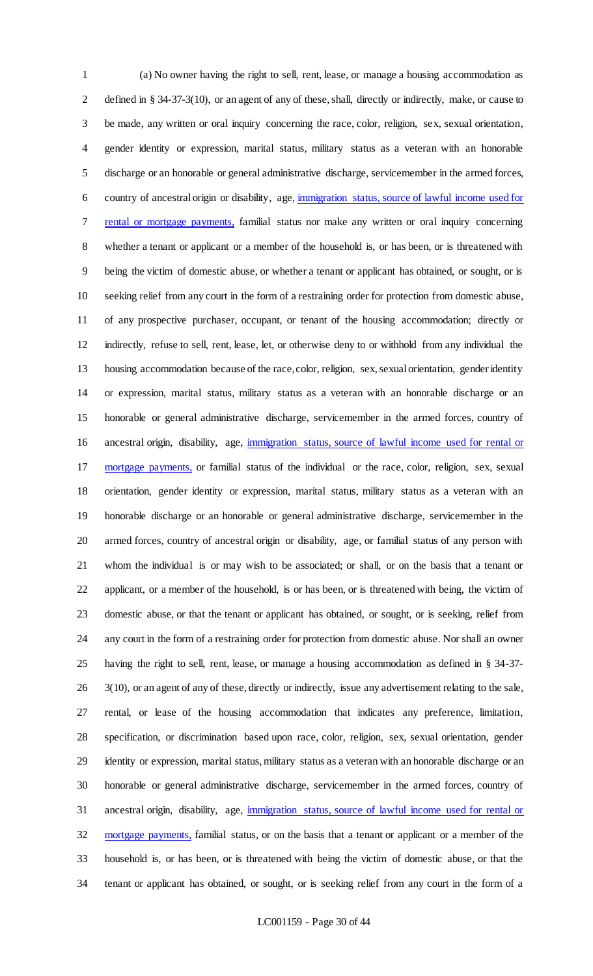(a) No owner having the right to sell, rent, lease, or manage a housing accommodation as defined in § 34-37-3(10), or an agent of any of these, shall, directly or indirectly, make, or cause to be made, any written or oral inquiry concerning the race, color, religion, sex, sexual orientation, gender identity or expression, marital status, military status as a veteran with an honorable discharge or an honorable or general administrative discharge, servicemember in the armed forces, country of ancestral origin or disability, age, immigration status, source of lawful income used for rental or mortgage payments, familial status nor make any written or oral inquiry concerning whether a tenant or applicant or a member of the household is, or has been, or is threatened with being the victim of domestic abuse, or whether a tenant or applicant has obtained, or sought, or is seeking relief from any court in the form of a restraining order for protection from domestic abuse, of any prospective purchaser, occupant, or tenant of the housing accommodation; directly or indirectly, refuse to sell, rent, lease, let, or otherwise deny to or withhold from any individual the housing accommodation because of the race, color, religion, sex, sexual orientation, gender identity or expression, marital status, military status as a veteran with an honorable discharge or an honorable or general administrative discharge, servicemember in the armed forces, country of ancestral origin, disability, age, immigration status, source of lawful income used for rental or mortgage payments, or familial status of the individual or the race, color, religion, sex, sexual orientation, gender identity or expression, marital status, military status as a veteran with an honorable discharge or an honorable or general administrative discharge, servicemember in the armed forces, country of ancestral origin or disability, age, or familial status of any person with whom the individual is or may wish to be associated; or shall, or on the basis that a tenant or applicant, or a member of the household, is or has been, or is threatened with being, the victim of domestic abuse, or that the tenant or applicant has obtained, or sought, or is seeking, relief from any court in the form of a restraining order for protection from domestic abuse. Nor shall an owner having the right to sell, rent, lease, or manage a housing accommodation as defined in § 34-37- 3(10), or an agent of any of these, directly or indirectly, issue any advertisement relating to the sale, rental, or lease of the housing accommodation that indicates any preference, limitation, specification, or discrimination based upon race, color, religion, sex, sexual orientation, gender identity or expression, marital status, military status as a veteran with an honorable discharge or an honorable or general administrative discharge, servicemember in the armed forces, country of ancestral origin, disability, age, immigration status, source of lawful income used for rental or 32 mortgage payments, familial status, or on the basis that a tenant or applicant or a member of the household is, or has been, or is threatened with being the victim of domestic abuse, or that the tenant or applicant has obtained, or sought, or is seeking relief from any court in the form of a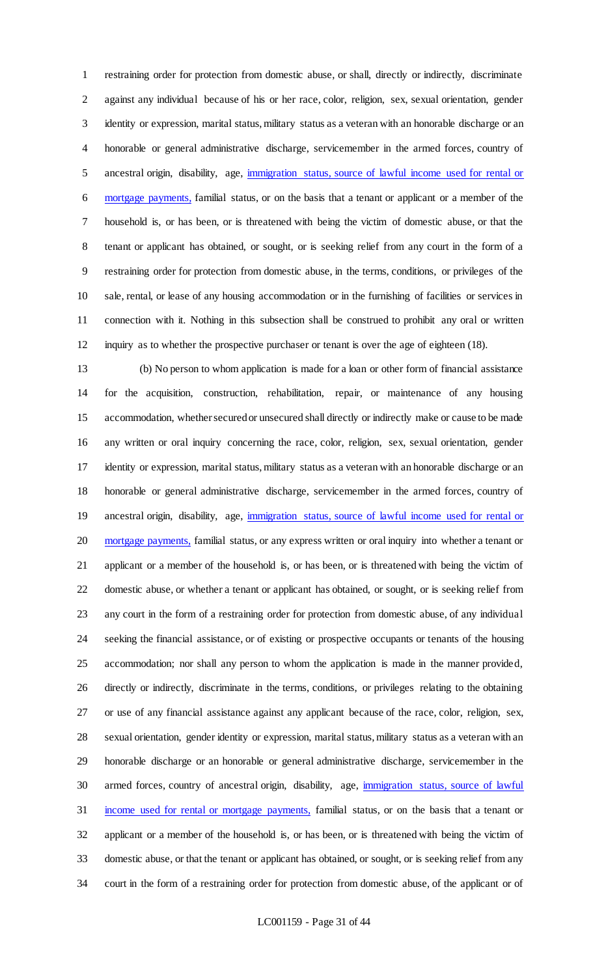restraining order for protection from domestic abuse, or shall, directly or indirectly, discriminate against any individual because of his or her race, color, religion, sex, sexual orientation, gender identity or expression, marital status, military status as a veteran with an honorable discharge or an honorable or general administrative discharge, servicemember in the armed forces, country of ancestral origin, disability, age, immigration status, source of lawful income used for rental or mortgage payments, familial status, or on the basis that a tenant or applicant or a member of the household is, or has been, or is threatened with being the victim of domestic abuse, or that the tenant or applicant has obtained, or sought, or is seeking relief from any court in the form of a restraining order for protection from domestic abuse, in the terms, conditions, or privileges of the sale, rental, or lease of any housing accommodation or in the furnishing of facilities or services in connection with it. Nothing in this subsection shall be construed to prohibit any oral or written inquiry as to whether the prospective purchaser or tenant is over the age of eighteen (18).

 (b) No person to whom application is made for a loan or other form of financial assistance for the acquisition, construction, rehabilitation, repair, or maintenance of any housing accommodation, whether secured or unsecured shall directly or indirectly make or cause to be made any written or oral inquiry concerning the race, color, religion, sex, sexual orientation, gender identity or expression, marital status, military status as a veteran with an honorable discharge or an honorable or general administrative discharge, servicemember in the armed forces, country of 19 ancestral origin, disability, age, immigration status, source of lawful income used for rental or 20 mortgage payments, familial status, or any express written or oral inquiry into whether a tenant or applicant or a member of the household is, or has been, or is threatened with being the victim of domestic abuse, or whether a tenant or applicant has obtained, or sought, or is seeking relief from any court in the form of a restraining order for protection from domestic abuse, of any individual seeking the financial assistance, or of existing or prospective occupants or tenants of the housing accommodation; nor shall any person to whom the application is made in the manner provided, directly or indirectly, discriminate in the terms, conditions, or privileges relating to the obtaining or use of any financial assistance against any applicant because of the race, color, religion, sex, sexual orientation, gender identity or expression, marital status, military status as a veteran with an honorable discharge or an honorable or general administrative discharge, servicemember in the 30 armed forces, country of ancestral origin, disability, age, immigration status, source of lawful income used for rental or mortgage payments, familial status, or on the basis that a tenant or applicant or a member of the household is, or has been, or is threatened with being the victim of domestic abuse, or that the tenant or applicant has obtained, or sought, or is seeking relief from any court in the form of a restraining order for protection from domestic abuse, of the applicant or of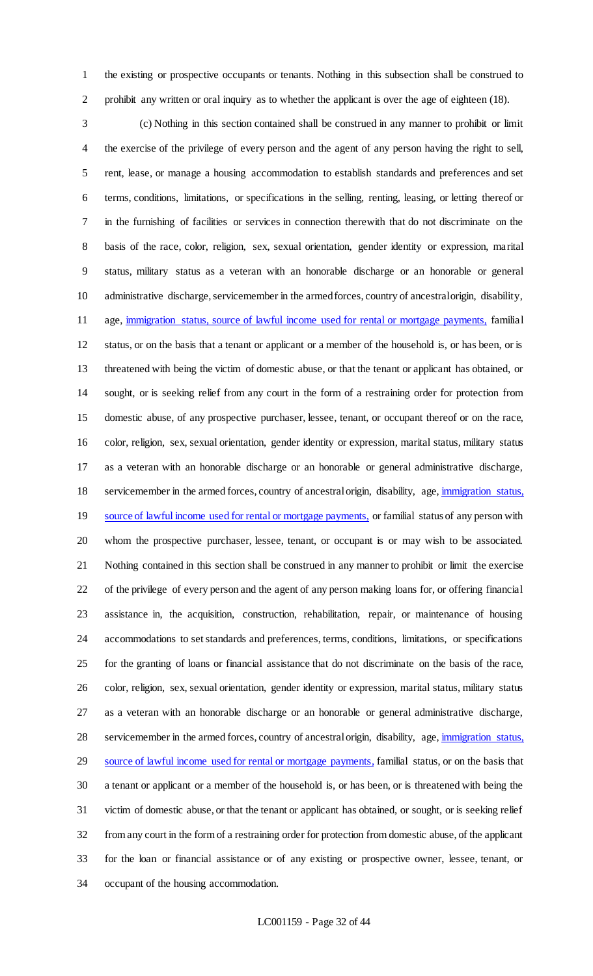the existing or prospective occupants or tenants. Nothing in this subsection shall be construed to prohibit any written or oral inquiry as to whether the applicant is over the age of eighteen (18).

 (c) Nothing in this section contained shall be construed in any manner to prohibit or limit the exercise of the privilege of every person and the agent of any person having the right to sell, rent, lease, or manage a housing accommodation to establish standards and preferences and set terms, conditions, limitations, or specifications in the selling, renting, leasing, or letting thereof or in the furnishing of facilities or services in connection therewith that do not discriminate on the basis of the race, color, religion, sex, sexual orientation, gender identity or expression, marital status, military status as a veteran with an honorable discharge or an honorable or general administrative discharge, servicemember in the armed forces, country of ancestral origin, disability, age, immigration status, source of lawful income used for rental or mortgage payments, familial status, or on the basis that a tenant or applicant or a member of the household is, or has been, or is threatened with being the victim of domestic abuse, or that the tenant or applicant has obtained, or sought, or is seeking relief from any court in the form of a restraining order for protection from domestic abuse, of any prospective purchaser, lessee, tenant, or occupant thereof or on the race, color, religion, sex, sexual orientation, gender identity or expression, marital status, military status as a veteran with an honorable discharge or an honorable or general administrative discharge, 18 servicemember in the armed forces, country of ancestral origin, disability, age, immigration status, 19 source of lawful income used for rental or mortgage payments, or familial status of any person with whom the prospective purchaser, lessee, tenant, or occupant is or may wish to be associated. Nothing contained in this section shall be construed in any manner to prohibit or limit the exercise of the privilege of every person and the agent of any person making loans for, or offering financial assistance in, the acquisition, construction, rehabilitation, repair, or maintenance of housing accommodations to set standards and preferences, terms, conditions, limitations, or specifications for the granting of loans or financial assistance that do not discriminate on the basis of the race, color, religion, sex, sexual orientation, gender identity or expression, marital status, military status as a veteran with an honorable discharge or an honorable or general administrative discharge, servicemember in the armed forces, country of ancestral origin, disability, age, immigration status, 29 source of lawful income used for rental or mortgage payments, familial status, or on the basis that a tenant or applicant or a member of the household is, or has been, or is threatened with being the victim of domestic abuse, or that the tenant or applicant has obtained, or sought, or is seeking relief from any court in the form of a restraining order for protection from domestic abuse, of the applicant for the loan or financial assistance or of any existing or prospective owner, lessee, tenant, or occupant of the housing accommodation.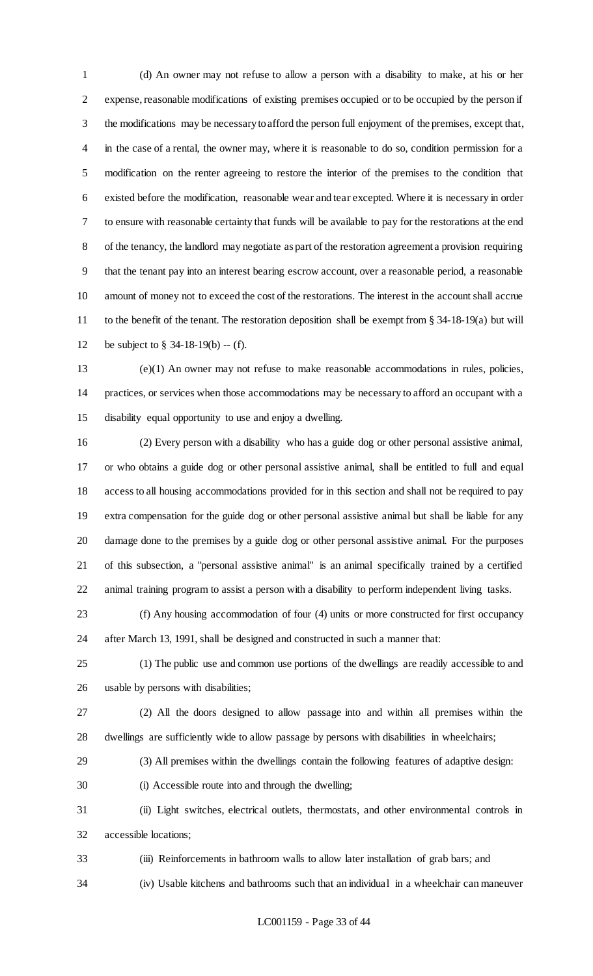(d) An owner may not refuse to allow a person with a disability to make, at his or her expense, reasonable modifications of existing premises occupied or to be occupied by the person if the modifications may be necessary to afford the person full enjoyment of the premises, except that, in the case of a rental, the owner may, where it is reasonable to do so, condition permission for a modification on the renter agreeing to restore the interior of the premises to the condition that existed before the modification, reasonable wear and tear excepted. Where it is necessary in order to ensure with reasonable certainty that funds will be available to pay for the restorations at the end of the tenancy, the landlord may negotiate as part of the restoration agreement a provision requiring that the tenant pay into an interest bearing escrow account, over a reasonable period, a reasonable amount of money not to exceed the cost of the restorations. The interest in the account shall accrue to the benefit of the tenant. The restoration deposition shall be exempt from § 34-18-19(a) but will be subject to § 34-18-19(b) -- (f).

 (e)(1) An owner may not refuse to make reasonable accommodations in rules, policies, practices, or services when those accommodations may be necessary to afford an occupant with a disability equal opportunity to use and enjoy a dwelling.

 (2) Every person with a disability who has a guide dog or other personal assistive animal, or who obtains a guide dog or other personal assistive animal, shall be entitled to full and equal access to all housing accommodations provided for in this section and shall not be required to pay extra compensation for the guide dog or other personal assistive animal but shall be liable for any damage done to the premises by a guide dog or other personal assistive animal. For the purposes of this subsection, a "personal assistive animal" is an animal specifically trained by a certified animal training program to assist a person with a disability to perform independent living tasks.

 (f) Any housing accommodation of four (4) units or more constructed for first occupancy after March 13, 1991, shall be designed and constructed in such a manner that:

 (1) The public use and common use portions of the dwellings are readily accessible to and usable by persons with disabilities;

 (2) All the doors designed to allow passage into and within all premises within the dwellings are sufficiently wide to allow passage by persons with disabilities in wheelchairs;

(3) All premises within the dwellings contain the following features of adaptive design:

(i) Accessible route into and through the dwelling;

 (ii) Light switches, electrical outlets, thermostats, and other environmental controls in accessible locations;

 (iii) Reinforcements in bathroom walls to allow later installation of grab bars; and (iv) Usable kitchens and bathrooms such that an individual in a wheelchair can maneuver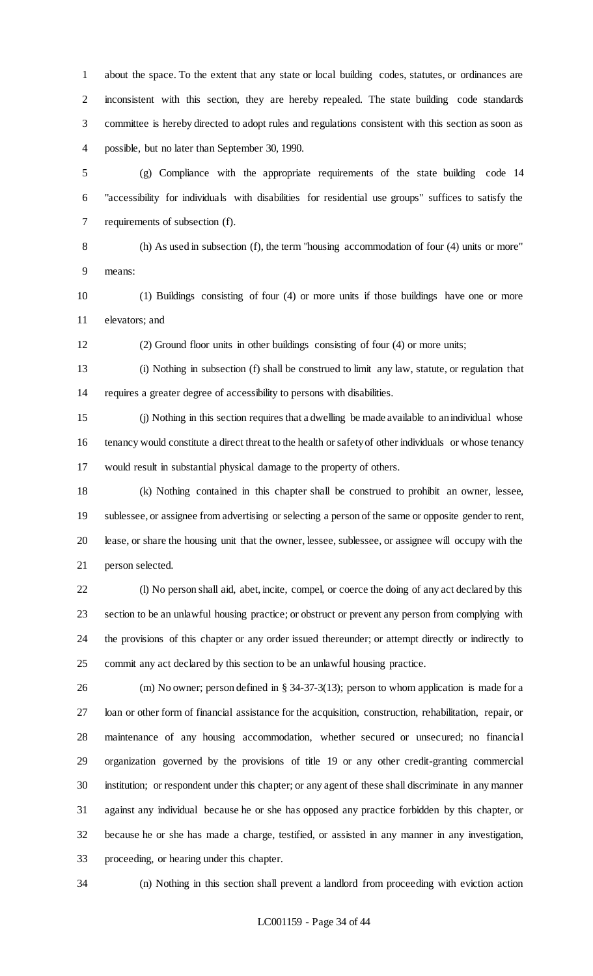about the space. To the extent that any state or local building codes, statutes, or ordinances are inconsistent with this section, they are hereby repealed. The state building code standards committee is hereby directed to adopt rules and regulations consistent with this section as soon as possible, but no later than September 30, 1990.

 (g) Compliance with the appropriate requirements of the state building code 14 "accessibility for individuals with disabilities for residential use groups" suffices to satisfy the requirements of subsection (f).

 (h) As used in subsection (f), the term "housing accommodation of four (4) units or more" means:

 (1) Buildings consisting of four (4) or more units if those buildings have one or more elevators; and

(2) Ground floor units in other buildings consisting of four (4) or more units;

 (i) Nothing in subsection (f) shall be construed to limit any law, statute, or regulation that requires a greater degree of accessibility to persons with disabilities.

 (j) Nothing in this section requires that a dwelling be made available to an individual whose tenancy would constitute a direct threat to the health or safety of other individuals or whose tenancy would result in substantial physical damage to the property of others.

 (k) Nothing contained in this chapter shall be construed to prohibit an owner, lessee, sublessee, or assignee from advertising or selecting a person of the same or opposite gender to rent, lease, or share the housing unit that the owner, lessee, sublessee, or assignee will occupy with the person selected.

 (l) No person shall aid, abet, incite, compel, or coerce the doing of any act declared by this section to be an unlawful housing practice; or obstruct or prevent any person from complying with the provisions of this chapter or any order issued thereunder; or attempt directly or indirectly to commit any act declared by this section to be an unlawful housing practice.

 (m) No owner; person defined in § 34-37-3(13); person to whom application is made for a loan or other form of financial assistance for the acquisition, construction, rehabilitation, repair, or maintenance of any housing accommodation, whether secured or unsecured; no financial organization governed by the provisions of title 19 or any other credit-granting commercial institution; or respondent under this chapter; or any agent of these shall discriminate in any manner against any individual because he or she has opposed any practice forbidden by this chapter, or because he or she has made a charge, testified, or assisted in any manner in any investigation, proceeding, or hearing under this chapter.

(n) Nothing in this section shall prevent a landlord from proceeding with eviction action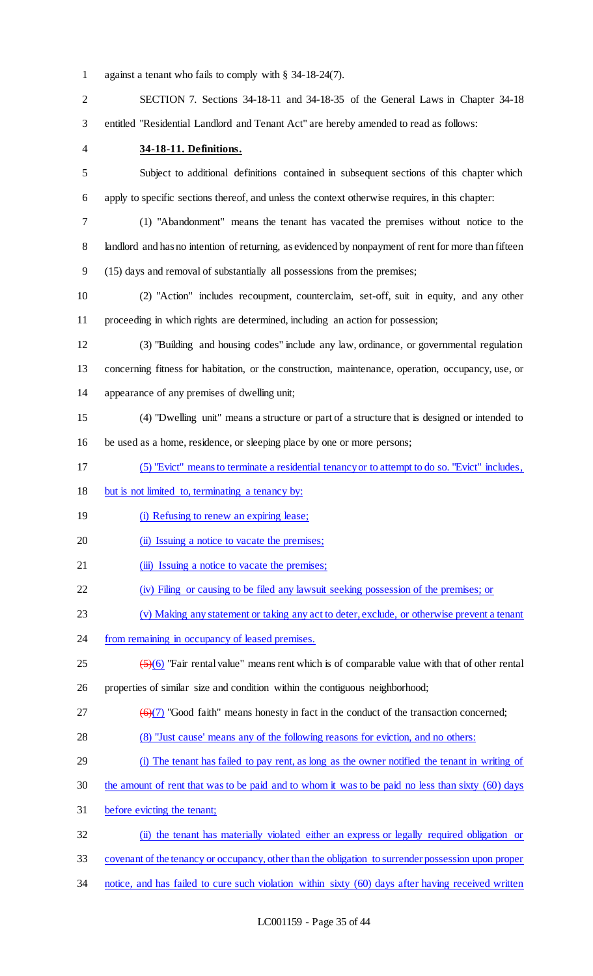against a tenant who fails to comply with § 34-18-24(7).

 SECTION 7. Sections 34-18-11 and 34-18-35 of the General Laws in Chapter 34-18 entitled "Residential Landlord and Tenant Act" are hereby amended to read as follows:

#### **34-18-11. Definitions.**

 Subject to additional definitions contained in subsequent sections of this chapter which apply to specific sections thereof, and unless the context otherwise requires, in this chapter:

 (1) "Abandonment" means the tenant has vacated the premises without notice to the landlord and has no intention of returning, as evidenced by nonpayment of rent for more than fifteen (15) days and removal of substantially all possessions from the premises;

 (2) "Action" includes recoupment, counterclaim, set-off, suit in equity, and any other proceeding in which rights are determined, including an action for possession;

 (3) "Building and housing codes" include any law, ordinance, or governmental regulation concerning fitness for habitation, or the construction, maintenance, operation, occupancy, use, or appearance of any premises of dwelling unit;

(4) "Dwelling unit" means a structure or part of a structure that is designed or intended to

be used as a home, residence, or sleeping place by one or more persons;

- (5) "Evict" means to terminate a residential tenancy or to attempt to do so. "Evict" includes,
- but is not limited to, terminating a tenancy by:
- 19 (i) Refusing to renew an expiring lease;

20 (ii) Issuing a notice to vacate the premises;

- 21 (iii) Issuing a notice to vacate the premises;
- (iv) Filing or causing to be filed any lawsuit seeking possession of the premises; or
- (v) Making any statement or taking any act to deter, exclude, or otherwise prevent a tenant
- 24 from remaining in occupancy of leased premises.
- $\frac{(5)(6)}{25}$  "Fair rental value" means rent which is of comparable value with that of other rental
- properties of similar size and condition within the contiguous neighborhood;
- $27 \left( \Theta(7) \right)$  "Good faith" means honesty in fact in the conduct of the transaction concerned;
- (8) "Just cause' means any of the following reasons for eviction, and no others:
- (i) The tenant has failed to pay rent, as long as the owner notified the tenant in writing of
- the amount of rent that was to be paid and to whom it was to be paid no less than sixty (60) days
- before evicting the tenant;
- 32 (ii) the tenant has materially violated either an express or legally required obligation or
- covenant of the tenancy or occupancy, other than the obligation to surrender possession upon proper
- 34 notice, and has failed to cure such violation within sixty (60) days after having received written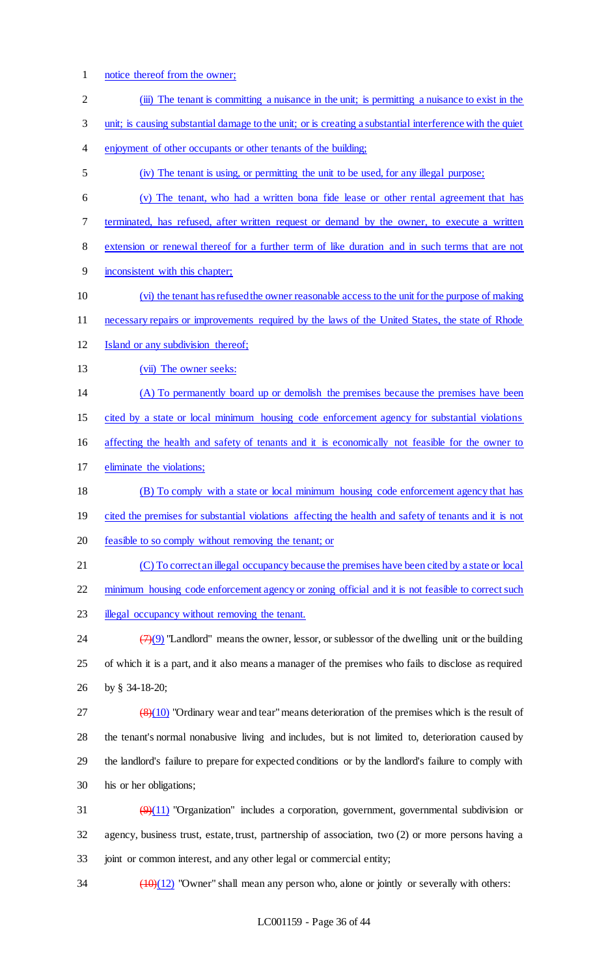- notice thereof from the owner; (iii) The tenant is committing a nuisance in the unit; is permitting a nuisance to exist in the unit; is causing substantial damage to the unit; or is creating a substantial interference with the quiet enjoyment of other occupants or other tenants of the building; (iv) The tenant is using, or permitting the unit to be used, for any illegal purpose; (v) The tenant, who had a written bona fide lease or other rental agreement that has terminated, has refused, after written request or demand by the owner, to execute a written extension or renewal thereof for a further term of like duration and in such terms that are not inconsistent with this chapter; (vi) the tenant has refused the owner reasonable access to the unit for the purpose of making necessary repairs or improvements required by the laws of the United States, the state of Rhode 12 Island or any subdivision thereof; 13 (vii) The owner seeks: (A) To permanently board up or demolish the premises because the premises have been cited by a state or local minimum housing code enforcement agency for substantial violations affecting the health and safety of tenants and it is economically not feasible for the owner to eliminate the violations; (B) To comply with a state or local minimum housing code enforcement agency that has 19 cited the premises for substantial violations affecting the health and safety of tenants and it is not feasible to so comply without removing the tenant; or (C) To correct an illegal occupancy because the premises have been cited by a state or local 22 minimum housing code enforcement agency or zoning official and it is not feasible to correct such 23 illegal occupancy without removing the tenant. 24  $\left(\frac{7}{9}\right)$  "Landlord" means the owner, lessor, or sublessor of the dwelling unit or the building of which it is a part, and it also means a manager of the premises who fails to disclose as required by § 34-18-20; 27  $\left(8\right)\left(10\right)$  "Ordinary wear and tear" means deterioration of the premises which is the result of the tenant's normal nonabusive living and includes, but is not limited to, deterioration caused by the landlord's failure to prepare for expected conditions or by the landlord's failure to comply with his or her obligations;  $\left(\frac{9}{11}\right)$  "Organization" includes a corporation, government, governmental subdivision or agency, business trust, estate, trust, partnership of association, two (2) or more persons having a joint or common interest, and any other legal or commercial entity;
- $\frac{(10)(12)}{10}$  "Owner" shall mean any person who, alone or jointly or severally with others: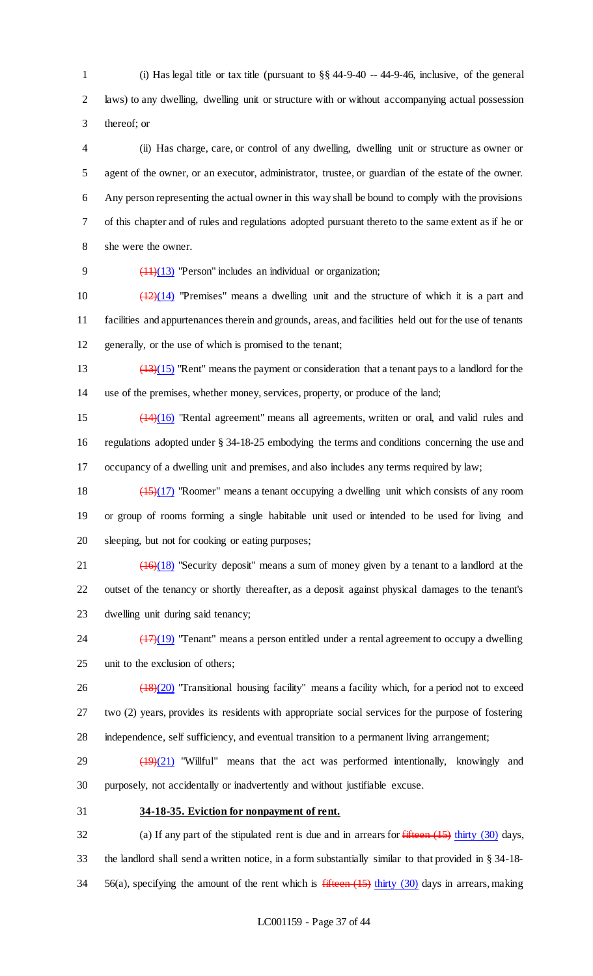1 (i) Has legal title or tax title (pursuant to  $\S$ § 44-9-40 -- 44-9-46, inclusive, of the general laws) to any dwelling, dwelling unit or structure with or without accompanying actual possession thereof; or

 (ii) Has charge, care, or control of any dwelling, dwelling unit or structure as owner or agent of the owner, or an executor, administrator, trustee, or guardian of the estate of the owner. Any person representing the actual owner in this way shall be bound to comply with the provisions of this chapter and of rules and regulations adopted pursuant thereto to the same extent as if he or she were the owner.

(11)(13) "Person" includes an individual or organization;

10  $\left(\frac{12}{14}\right)$  "Premises" means a dwelling unit and the structure of which it is a part and facilities and appurtenances therein and grounds, areas, and facilities held out for the use of tenants generally, or the use of which is promised to the tenant;

 (13)(15) "Rent" means the payment or consideration that a tenant pays to a landlord for the use of the premises, whether money, services, property, or produce of the land;

 (14)(16) "Rental agreement" means all agreements, written or oral, and valid rules and regulations adopted under § 34-18-25 embodying the terms and conditions concerning the use and occupancy of a dwelling unit and premises, and also includes any terms required by law;

 (15)(17) "Roomer" means a tenant occupying a dwelling unit which consists of any room or group of rooms forming a single habitable unit used or intended to be used for living and sleeping, but not for cooking or eating purposes;

21  $\left(\frac{(16)(18)}{25}\right)$  "Security deposit" means a sum of money given by a tenant to a landlord at the outset of the tenancy or shortly thereafter, as a deposit against physical damages to the tenant's dwelling unit during said tenancy;

24  $\frac{(17)(19)}{24}$  "Tenant" means a person entitled under a rental agreement to occupy a dwelling unit to the exclusion of others;

26 (18)(20) "Transitional housing facility" means a facility which, for a period not to exceed two (2) years, provides its residents with appropriate social services for the purpose of fostering independence, self sufficiency, and eventual transition to a permanent living arrangement;

29  $\left(\frac{19}{21}\right)$  "Willful" means that the act was performed intentionally, knowingly and purposely, not accidentally or inadvertently and without justifiable excuse.

**34-18-35. Eviction for nonpayment of rent.**

32 (a) If any part of the stipulated rent is due and in arrears for *fifteen* (15) thirty (30) days, the landlord shall send a written notice, in a form substantially similar to that provided in § 34-18- 34 56(a), specifying the amount of the rent which is  $f$  fifteen (15) thirty (30) days in arrears, making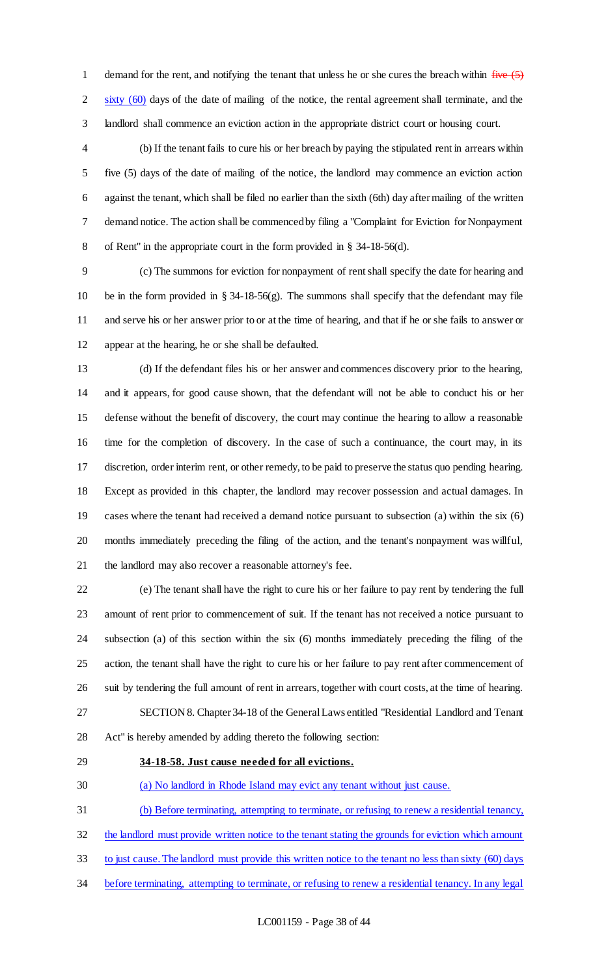1 demand for the rent, and notifying the tenant that unless he or she cures the breach within  $f^{\text{true}}(5)$ 2 sixty (60) days of the date of mailing of the notice, the rental agreement shall terminate, and the landlord shall commence an eviction action in the appropriate district court or housing court.

 (b) If the tenant fails to cure his or her breach by paying the stipulated rent in arrears within five (5) days of the date of mailing of the notice, the landlord may commence an eviction action against the tenant, which shall be filed no earlier than the sixth (6th) day after mailing of the written demand notice. The action shall be commenced by filing a "Complaint for Eviction for Nonpayment of Rent" in the appropriate court in the form provided in § 34-18-56(d).

 (c) The summons for eviction for nonpayment of rent shall specify the date for hearing and 10 be in the form provided in  $\S$  34-18-56(g). The summons shall specify that the defendant may file and serve his or her answer prior to or at the time of hearing, and that if he or she fails to answer or appear at the hearing, he or she shall be defaulted.

 (d) If the defendant files his or her answer and commences discovery prior to the hearing, and it appears, for good cause shown, that the defendant will not be able to conduct his or her defense without the benefit of discovery, the court may continue the hearing to allow a reasonable time for the completion of discovery. In the case of such a continuance, the court may, in its discretion, order interim rent, or other remedy, to be paid to preserve the status quo pending hearing. Except as provided in this chapter, the landlord may recover possession and actual damages. In cases where the tenant had received a demand notice pursuant to subsection (a) within the six (6) months immediately preceding the filing of the action, and the tenant's nonpayment was willful, the landlord may also recover a reasonable attorney's fee.

 (e) The tenant shall have the right to cure his or her failure to pay rent by tendering the full amount of rent prior to commencement of suit. If the tenant has not received a notice pursuant to subsection (a) of this section within the six (6) months immediately preceding the filing of the action, the tenant shall have the right to cure his or her failure to pay rent after commencement of suit by tendering the full amount of rent in arrears, together with court costs, at the time of hearing. SECTION 8. Chapter 34-18 of the General Laws entitled "Residential Landlord and Tenant

Act" is hereby amended by adding thereto the following section:

#### **34-18-58. Just cause needed for all evictions.**

(a) No landlord in Rhode Island may evict any tenant without just cause.

(b) Before terminating, attempting to terminate, or refusing to renew a residential tenancy,

32 the landlord must provide written notice to the tenant stating the grounds for eviction which amount

to just cause. The landlord must provide this written notice to the tenant no less than sixty (60) days

before terminating, attempting to terminate, or refusing to renew a residential tenancy. In any legal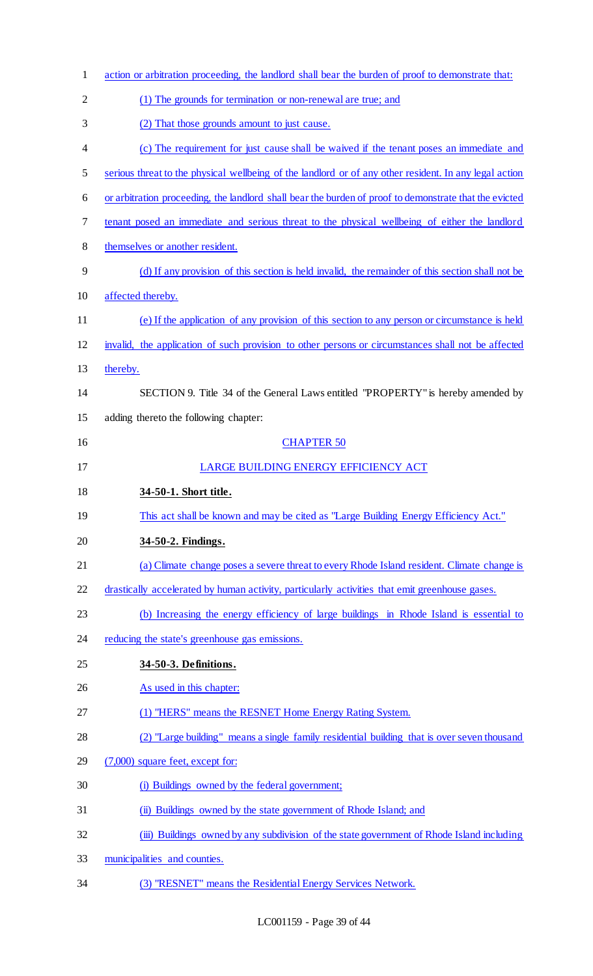| $\mathbf{1}$   | action or arbitration proceeding, the landlord shall bear the burden of proof to demonstrate that:     |
|----------------|--------------------------------------------------------------------------------------------------------|
| $\overline{2}$ | (1) The grounds for termination or non-renewal are true; and                                           |
| 3              | (2) That those grounds amount to just cause.                                                           |
| 4              | (c) The requirement for just cause shall be waived if the tenant poses an immediate and                |
| 5              | serious threat to the physical wellbeing of the landlord or of any other resident. In any legal action |
| 6              | or arbitration proceeding, the landlord shall bear the burden of proof to demonstrate that the evicted |
| 7              | tenant posed an immediate and serious threat to the physical wellbeing of either the landlord          |
| 8              | themselves or another resident.                                                                        |
| 9              | (d) If any provision of this section is held invalid, the remainder of this section shall not be       |
| 10             | affected thereby.                                                                                      |
| 11             | (e) If the application of any provision of this section to any person or circumstance is held          |
| 12             | invalid, the application of such provision to other persons or circumstances shall not be affected     |
| 13             | thereby.                                                                                               |
| 14             | SECTION 9. Title 34 of the General Laws entitled "PROPERTY" is hereby amended by                       |
| 15             | adding thereto the following chapter:                                                                  |
| 16             | <b>CHAPTER 50</b>                                                                                      |
|                | LARGE BUILDING ENERGY EFFICIENCY ACT                                                                   |
| 17             |                                                                                                        |
| 18             | 34-50-1. Short title.                                                                                  |
| 19             | This act shall be known and may be cited as "Large Building Energy Efficiency Act."                    |
| 20             | 34-50-2. Findings.                                                                                     |
| 21             | (a) Climate change poses a severe threat to every Rhode Island resident. Climate change is             |
| 22             | drastically accelerated by human activity, particularly activities that emit greenhouse gases.         |
| 23             | (b) Increasing the energy efficiency of large buildings in Rhode Island is essential to                |
| 24             | reducing the state's greenhouse gas emissions.                                                         |
| 25             | 34-50-3. Definitions.                                                                                  |
| 26             | As used in this chapter:                                                                               |
| 27             | (1) "HERS" means the RESNET Home Energy Rating System.                                                 |
| 28             | (2) "Large building" means a single family residential building that is over seven thousand            |
| 29             | (7,000) square feet, except for:                                                                       |
| 30             | (i) Buildings owned by the federal government;                                                         |
| 31             | (ii) Buildings owned by the state government of Rhode Island; and                                      |
| 32             | (iii) Buildings owned by any subdivision of the state government of Rhode Island including             |
| 33             | municipalities and counties.                                                                           |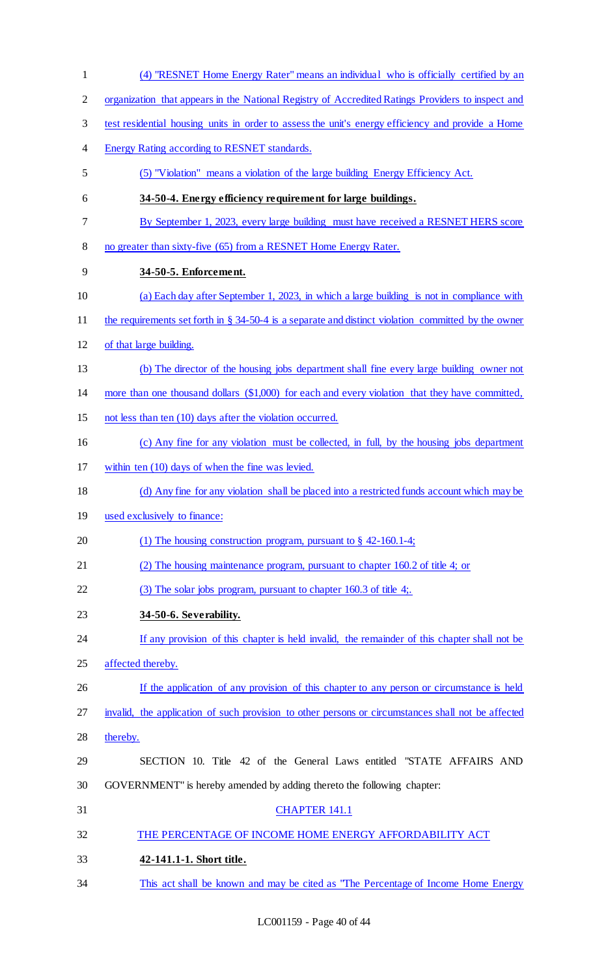(4) "RESNET Home Energy Rater" means an individual who is officially certified by an organization that appears in the National Registry of Accredited Ratings Providers to inspect and test residential housing units in order to assess the unit's energy efficiency and provide a Home Energy Rating according to RESNET standards. (5) "Violation" means a violation of the large building Energy Efficiency Act. **34-50-4. Energy efficiency requirement for large buildings.**  By September 1, 2023, every large building must have received a RESNET HERS score no greater than sixty-five (65) from a RESNET Home Energy Rater. **34-50-5. Enforcement.**  (a) Each day after September 1, 2023, in which a large building is not in compliance with the requirements set forth in § 34-50-4 is a separate and distinct violation committed by the owner of that large building. (b) The director of the housing jobs department shall fine every large building owner not more than one thousand dollars (\$1,000) for each and every violation that they have committed, not less than ten (10) days after the violation occurred. (c) Any fine for any violation must be collected, in full, by the housing jobs department within ten (10) days of when the fine was levied. (d) Any fine for any violation shall be placed into a restricted funds account which may be used exclusively to finance: 20 (1) The housing construction program, pursuant to § 42-160.1-4; (2) The housing maintenance program, pursuant to chapter 160.2 of title 4; or 22 (3) The solar jobs program, pursuant to chapter 160.3 of title 4; **34-50-6. Severability.**  If any provision of this chapter is held invalid, the remainder of this chapter shall not be affected thereby. 26 If the application of any provision of this chapter to any person or circumstance is held invalid, the application of such provision to other persons or circumstances shall not be affected thereby. SECTION 10. Title 42 of the General Laws entitled "STATE AFFAIRS AND GOVERNMENT" is hereby amended by adding thereto the following chapter: CHAPTER 141.1 32 THE PERCENTAGE OF INCOME HOME ENERGY AFFORDABILITY ACT **42-141.1-1. Short title.**  This act shall be known and may be cited as "The Percentage of Income Home Energy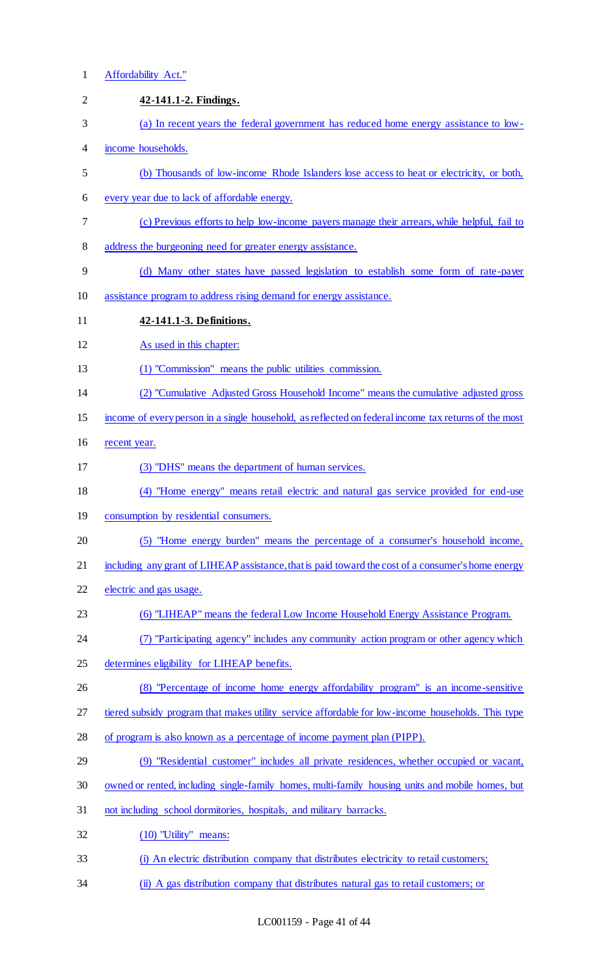1 Affordability Act."

| $\overline{2}$ | 42-141.1-2. Findings.                                                                                |
|----------------|------------------------------------------------------------------------------------------------------|
| 3              | (a) In recent years the federal government has reduced home energy assistance to low-                |
| $\overline{4}$ | income households.                                                                                   |
| 5              | (b) Thousands of low-income Rhode Islanders lose access to heat or electricity, or both,             |
| 6              | every year due to lack of affordable energy.                                                         |
| 7              | (c) Previous efforts to help low-income payers manage their arrears, while helpful, fail to          |
| 8              | address the burgeoning need for greater energy assistance.                                           |
| 9              | (d) Many other states have passed legislation to establish some form of rate-payer                   |
| 10             | assistance program to address rising demand for energy assistance.                                   |
| 11             | 42-141.1-3. Definitions.                                                                             |
| 12             | As used in this chapter:                                                                             |
| 13             | (1) "Commission" means the public utilities commission.                                              |
| 14             | (2) "Cumulative Adjusted Gross Household Income" means the cumulative adjusted gross                 |
| 15             | income of every person in a single household, as reflected on federal income tax returns of the most |
| 16             | recent year.                                                                                         |
| 17             | (3) "DHS" means the department of human services.                                                    |
| 18             | (4) "Home energy" means retail electric and natural gas service provided for end-use                 |
| 19             | consumption by residential consumers.                                                                |
| 20             | (5) "Home energy burden" means the percentage of a consumer's household income,                      |
| 21             | including any grant of LIHEAP assistance, that is paid toward the cost of a consumer's home energy   |
| 22             | electric and gas usage.                                                                              |
| 23             | (6) "LIHEAP" means the federal Low Income Household Energy Assistance Program.                       |
| 24             | (7) "Participating agency" includes any community action program or other agency which               |
| 25             | determines eligibility for LIHEAP benefits.                                                          |
| 26             | (8) "Percentage of income home energy affordability program" is an income-sensitive                  |
| 27             | tiered subsidy program that makes utility service affordable for low-income households. This type    |
| 28             | of program is also known as a percentage of income payment plan (PIPP).                              |
| 29             | (9) "Residential customer" includes all private residences, whether occupied or vacant,              |
| 30             | owned or rented, including single-family homes, multi-family housing units and mobile homes, but     |
| 31             | not including school dormitories, hospitals, and military barracks.                                  |
| 32             | (10) "Utility" means:                                                                                |
| 33             | (i) An electric distribution company that distributes electricity to retail customers;               |
| 34             | (ii) A gas distribution company that distributes natural gas to retail customers; or                 |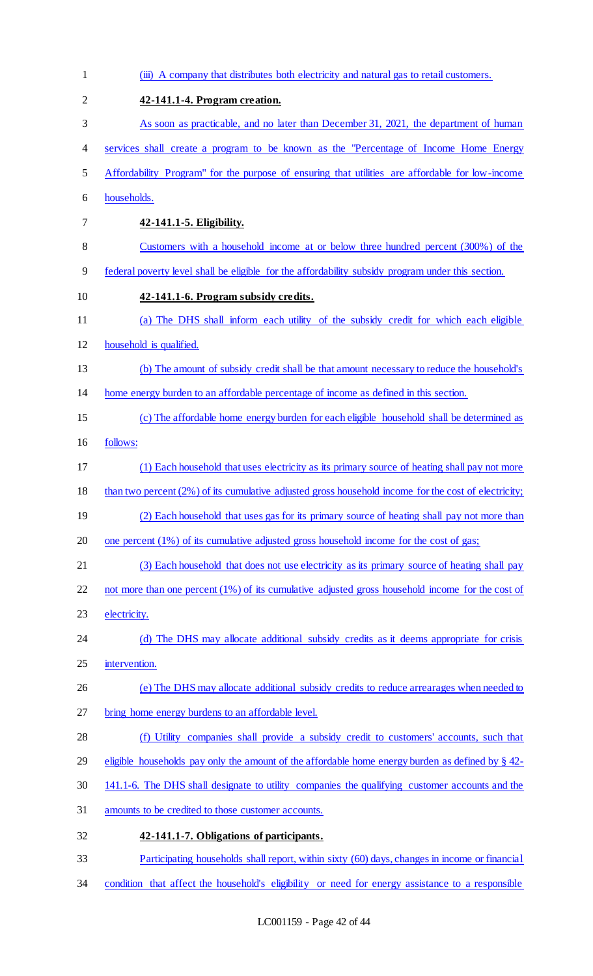| $\mathbf{1}$   | (iii) A company that distributes both electricity and natural gas to retail customers.               |
|----------------|------------------------------------------------------------------------------------------------------|
| $\overline{2}$ | 42-141.1-4. Program creation.                                                                        |
| 3              | As soon as practicable, and no later than December 31, 2021, the department of human                 |
| 4              | services shall create a program to be known as the "Percentage of Income Home Energy                 |
| 5              | Affordability Program" for the purpose of ensuring that utilities are affordable for low-income      |
| 6              | households.                                                                                          |
| 7              | 42-141.1-5. Eligibility.                                                                             |
| 8              | Customers with a household income at or below three hundred percent (300%) of the                    |
| 9              | federal poverty level shall be eligible for the affordability subsidy program under this section.    |
| 10             | 42-141.1-6. Program subsidy credits.                                                                 |
| 11             | (a) The DHS shall inform each utility of the subsidy credit for which each eligible                  |
| 12             | household is qualified.                                                                              |
| 13             | (b) The amount of subsidy credit shall be that amount necessary to reduce the household's            |
| 14             | home energy burden to an affordable percentage of income as defined in this section.                 |
| 15             | (c) The affordable home energy burden for each eligible household shall be determined as             |
| 16             | follows:                                                                                             |
| 17             | (1) Each household that uses electricity as its primary source of heating shall pay not more         |
| 18             | than two percent (2%) of its cumulative adjusted gross household income for the cost of electricity; |
| 19             | (2) Each household that uses gas for its primary source of heating shall pay not more than           |
| 20             | one percent $(1\%)$ of its cumulative adjusted gross household income for the cost of gas;           |
| 21             | (3) Each household that does not use electricity as its primary source of heating shall pay          |
| 22             | not more than one percent (1%) of its cumulative adjusted gross household income for the cost of     |
| 23             | electricity.                                                                                         |
| 24             | (d) The DHS may allocate additional subsidy credits as it deems appropriate for crisis               |
| 25             | intervention.                                                                                        |
| 26             | (e) The DHS may allocate additional subsidy credits to reduce arrearages when needed to              |
| 27             | bring home energy burdens to an affordable level.                                                    |
| 28             | (f) Utility companies shall provide a subsidy credit to customers' accounts, such that               |
| 29             | eligible households pay only the amount of the affordable home energy burden as defined by $\S$ 42-  |
| 30             | 141.1-6. The DHS shall designate to utility companies the qualifying customer accounts and the       |
| 31             | amounts to be credited to those customer accounts.                                                   |
| 32             | 42-141.1-7. Obligations of participants.                                                             |
| 33             | Participating households shall report, within sixty (60) days, changes in income or financial        |
| 34             | condition that affect the household's eligibility or need for energy assistance to a responsible     |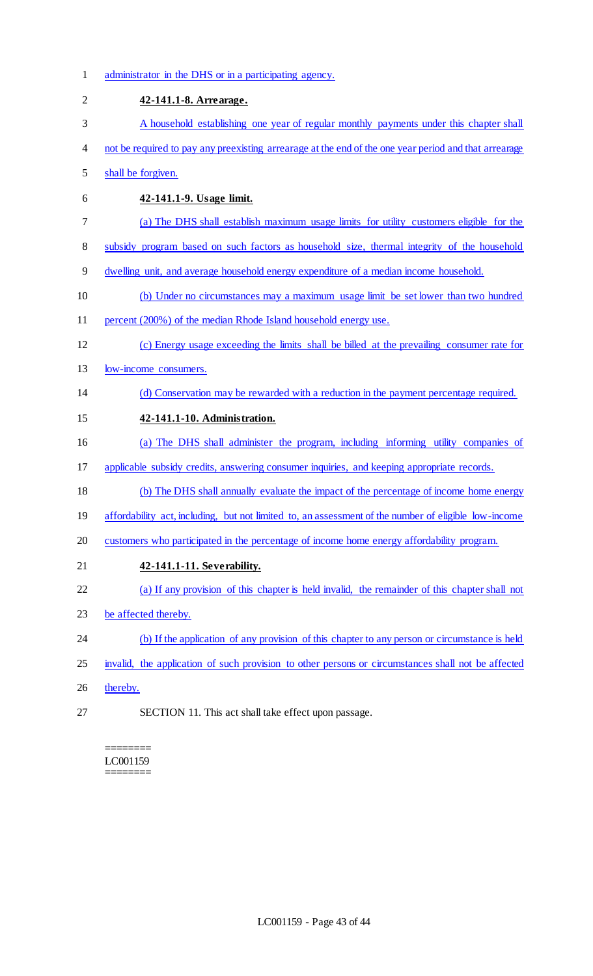administrator in the DHS or in a participating agency. **42-141.1-8. Arrearage.**  A household establishing one year of regular monthly payments under this chapter shall not be required to pay any preexisting arrearage at the end of the one year period and that arrearage shall be forgiven. **42-141.1-9. Usage limit.**  (a) The DHS shall establish maximum usage limits for utility customers eligible for the subsidy program based on such factors as household size, thermal integrity of the household dwelling unit, and average household energy expenditure of a median income household. (b) Under no circumstances may a maximum usage limit be set lower than two hundred percent (200%) of the median Rhode Island household energy use. (c) Energy usage exceeding the limits shall be billed at the prevailing consumer rate for low-income consumers. (d) Conservation may be rewarded with a reduction in the payment percentage required. **42-141.1-10. Administration.**  (a) The DHS shall administer the program, including informing utility companies of applicable subsidy credits, answering consumer inquiries, and keeping appropriate records. (b) The DHS shall annually evaluate the impact of the percentage of income home energy 19 affordability act, including, but not limited to, an assessment of the number of eligible low-income customers who participated in the percentage of income home energy affordability program. **42-141.1-11. Severability.**  (a) If any provision of this chapter is held invalid, the remainder of this chapter shall not be affected thereby. (b) If the application of any provision of this chapter to any person or circumstance is held 25 invalid, the application of such provision to other persons or circumstances shall not be affected 26 thereby. SECTION 11. This act shall take effect upon passage.

======== LC001159 ========